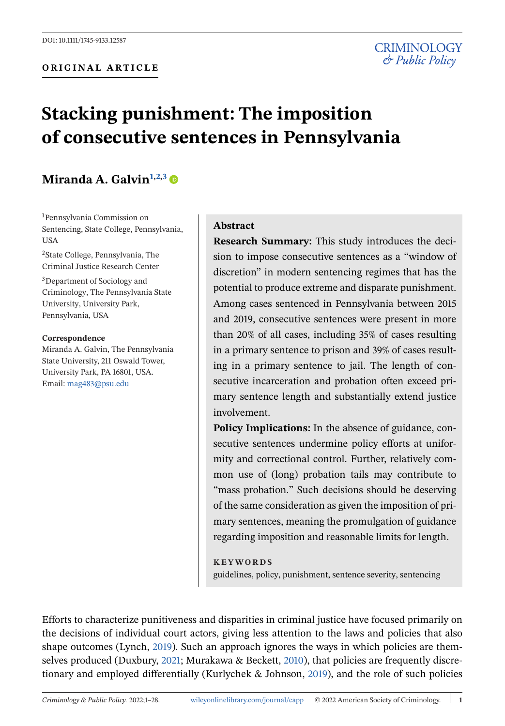# **Stacking punishment: The imposition of consecutive sentences in Pennsylvania**

# **Miranda A. Galvin1,2,3**

1 Pennsylvania Commission on Sentencing, State College, Pennsylvania, USA 2State College, Pennsylvania, The Criminal Justice Research Center

3Department of Sociology and Criminology, The Pennsylvania State University, University Park, Pennsylvania, USA

#### **Correspondence**

Miranda A. Galvin, The Pennsylvania State University, 211 Oswald Tower, University Park, PA 16801, USA. Email: [mag483@psu.edu](mailto:mag483@psu.edu)

#### **Abstract**

**Research Summary:** This study introduces the decision to impose consecutive sentences as a "window of discretion" in modern sentencing regimes that has the potential to produce extreme and disparate punishment. Among cases sentenced in Pennsylvania between 2015 and 2019, consecutive sentences were present in more than 20% of all cases, including 35% of cases resulting in a primary sentence to prison and 39% of cases resulting in a primary sentence to jail. The length of consecutive incarceration and probation often exceed primary sentence length and substantially extend justice involvement.

**Policy Implications:** In the absence of guidance, consecutive sentences undermine policy efforts at uniformity and correctional control. Further, relatively common use of (long) probation tails may contribute to "mass probation." Such decisions should be deserving of the same consideration as given the imposition of primary sentences, meaning the promulgation of guidance regarding imposition and reasonable limits for length.

#### **KEYWORDS**

guidelines, policy, punishment, sentence severity, sentencing

Efforts to characterize punitiveness and disparities in criminal justice have focused primarily on the decisions of individual court actors, giving less attention to the laws and policies that also shape outcomes (Lynch, [2019\)](#page-25-0). Such an approach ignores the ways in which policies are themselves produced (Duxbury, [2021;](#page-23-0) Murakawa & Beckett, [2010\)](#page-25-0), that policies are frequently discretionary and employed differentially (Kurlychek & Johnson, [2019\)](#page-24-0), and the role of such policies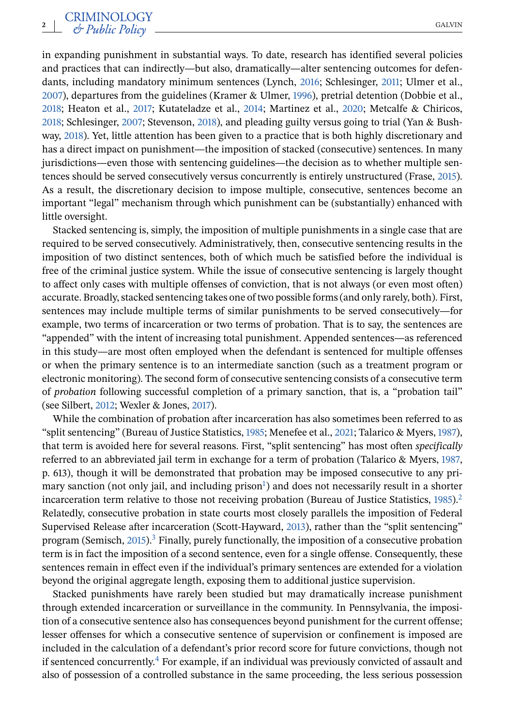in expanding punishment in substantial ways. To date, research has identified several policies and practices that can indirectly—but also, dramatically—alter sentencing outcomes for defendants, including mandatory minimum sentences (Lynch, [2016;](#page-25-0) Schlesinger, [2011;](#page-26-0) Ulmer et al., [2007\)](#page-26-0), departures from the guidelines (Kramer & Ulmer, [1996\)](#page-24-0), pretrial detention (Dobbie et al., [2018;](#page-23-0) Heaton et al., [2017;](#page-24-0) Kutateladze et al., [2014;](#page-24-0) Martinez et al., [2020;](#page-25-0) Metcalfe & Chiricos, [2018;](#page-25-0) Schlesinger, [2007;](#page-26-0) Stevenson, [2018\)](#page-26-0), and pleading guilty versus going to trial (Yan & Bushway, [2018\)](#page-27-0). Yet, little attention has been given to a practice that is both highly discretionary and has a direct impact on punishment—the imposition of stacked (consecutive) sentences. In many jurisdictions—even those with sentencing guidelines—the decision as to whether multiple sentences should be served consecutively versus concurrently is entirely unstructured (Frase, [2015\)](#page-24-0). As a result, the discretionary decision to impose multiple, consecutive, sentences become an important "legal" mechanism through which punishment can be (substantially) enhanced with little oversight.

Stacked sentencing is, simply, the imposition of multiple punishments in a single case that are required to be served consecutively. Administratively, then, consecutive sentencing results in the imposition of two distinct sentences, both of which much be satisfied before the individual is free of the criminal justice system. While the issue of consecutive sentencing is largely thought to affect only cases with multiple offenses of conviction, that is not always (or even most often) accurate. Broadly, stacked sentencing takes one of two possible forms (and only rarely, both). First, sentences may include multiple terms of similar punishments to be served consecutively—for example, two terms of incarceration or two terms of probation. That is to say, the sentences are "appended" with the intent of increasing total punishment. Appended sentences—as referenced in this study—are most often employed when the defendant is sentenced for multiple offenses or when the primary sentence is to an intermediate sanction (such as a treatment program or electronic monitoring). The second form of consecutive sentencing consists of a consecutive term of *probation* following successful completion of a primary sanction, that is, a "probation tail" (see Silbert, [2012;](#page-26-0) Wexler & Jones, [2017\)](#page-27-0).

While the combination of probation after incarceration has also sometimes been referred to as "split sentencing" (Bureau of Justice Statistics, [1985;](#page-23-0) Menefee et al., [2021;](#page-25-0) Talarico & Myers, [1987\)](#page-26-0), that term is avoided here for several reasons. First, "split sentencing" has most often *specifically* referred to an abbreviated jail term in exchange for a term of probation (Talarico & Myers, [1987,](#page-26-0) p. 613), though it will be demonstrated that probation may be imposed consecutive to any primary sanction (not only jail, and including prison<sup>1</sup>) and does not necessarily result in a shorter incarceration term relative to those not receiving probation (Bureau of Justice Statistics, [1985\)](#page-23-0).<sup>[2](#page-21-0)</sup> Relatedly, consecutive probation in state courts most closely parallels the imposition of Federal Supervised Release after incarceration (Scott-Hayward, [2013\)](#page-26-0), rather than the "split sentencing" program (Semisch, [2015\)](#page-26-0).<sup>3</sup> Finally, purely functionally, the imposition of a consecutive probation term is in fact the imposition of a second sentence, even for a single offense. Consequently, these sentences remain in effect even if the individual's primary sentences are extended for a violation beyond the original aggregate length, exposing them to additional justice supervision.

Stacked punishments have rarely been studied but may dramatically increase punishment through extended incarceration or surveillance in the community. In Pennsylvania, the imposition of a consecutive sentence also has consequences beyond punishment for the current offense; lesser offenses for which a consecutive sentence of supervision or confinement is imposed are included in the calculation of a defendant's prior record score for future convictions, though not if sentenced concurrently[.4](#page-21-0) For example, if an individual was previously convicted of assault and also of possession of a controlled substance in the same proceeding, the less serious possession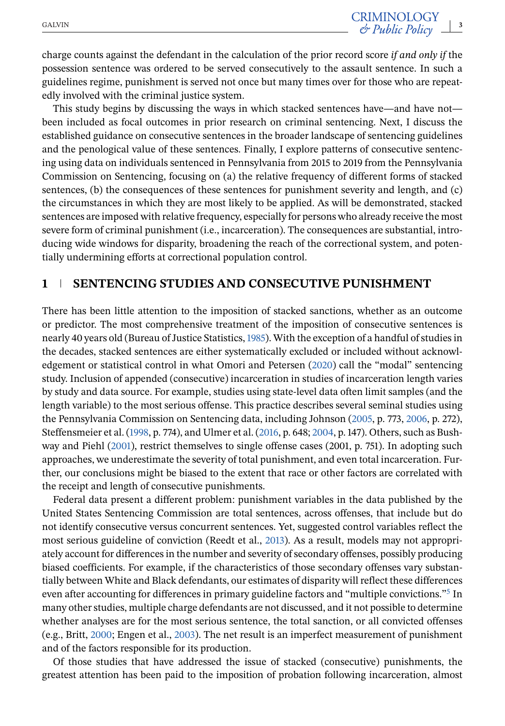charge counts against the defendant in the calculation of the prior record score *if and only if* the possession sentence was ordered to be served consecutively to the assault sentence. In such a guidelines regime, punishment is served not once but many times over for those who are repeatedly involved with the criminal justice system.

This study begins by discussing the ways in which stacked sentences have—and have not been included as focal outcomes in prior research on criminal sentencing. Next, I discuss the established guidance on consecutive sentences in the broader landscape of sentencing guidelines and the penological value of these sentences. Finally, I explore patterns of consecutive sentencing using data on individuals sentenced in Pennsylvania from 2015 to 2019 from the Pennsylvania Commission on Sentencing, focusing on (a) the relative frequency of different forms of stacked sentences, (b) the consequences of these sentences for punishment severity and length, and (c) the circumstances in which they are most likely to be applied. As will be demonstrated, stacked sentences are imposed with relative frequency, especially for persons who already receive the most severe form of criminal punishment (i.e., incarceration). The consequences are substantial, introducing wide windows for disparity, broadening the reach of the correctional system, and potentially undermining efforts at correctional population control.

#### **1 SENTENCING STUDIES AND CONSECUTIVE PUNISHMENT**

There has been little attention to the imposition of stacked sanctions, whether as an outcome or predictor. The most comprehensive treatment of the imposition of consecutive sentences is nearly 40 years old (Bureau of Justice Statistics,[1985\)](#page-23-0). With the exception of a handful of studies in the decades, stacked sentences are either systematically excluded or included without acknowledgement or statistical control in what Omori and Petersen [\(2020\)](#page-25-0) call the "modal" sentencing study. Inclusion of appended (consecutive) incarceration in studies of incarceration length varies by study and data source. For example, studies using state-level data often limit samples (and the length variable) to the most serious offense. This practice describes several seminal studies using the Pennsylvania Commission on Sentencing data, including Johnson [\(2005,](#page-24-0) p. 773, [2006,](#page-24-0) p. 272), Steffensmeier et al. [\(1998,](#page-26-0) p. 774), and Ulmer et al. [\(2016,](#page-26-0) p. 648; [2004,](#page-26-0) p. 147). Others, such as Bushway and Piehl [\(2001\)](#page-23-0), restrict themselves to single offense cases (2001, p. 751). In adopting such approaches, we underestimate the severity of total punishment, and even total incarceration. Further, our conclusions might be biased to the extent that race or other factors are correlated with the receipt and length of consecutive punishments.

Federal data present a different problem: punishment variables in the data published by the United States Sentencing Commission are total sentences, across offenses, that include but do not identify consecutive versus concurrent sentences. Yet, suggested control variables reflect the most serious guideline of conviction (Reedt et al., [2013\)](#page-25-0). As a result, models may not appropriately account for differences in the number and severity of secondary offenses, possibly producing biased coefficients. For example, if the characteristics of those secondary offenses vary substantially between White and Black defendants, our estimates of disparity will reflect these differences even after accounting for differences in primary guideline factors and "multiple convictions."<sup>[5](#page-21-0)</sup> In many other studies, multiple charge defendants are not discussed, and it not possible to determine whether analyses are for the most serious sentence, the total sanction, or all convicted offenses (e.g., Britt, [2000;](#page-23-0) Engen et al., [2003\)](#page-23-0). The net result is an imperfect measurement of punishment and of the factors responsible for its production.

Of those studies that have addressed the issue of stacked (consecutive) punishments, the greatest attention has been paid to the imposition of probation following incarceration, almost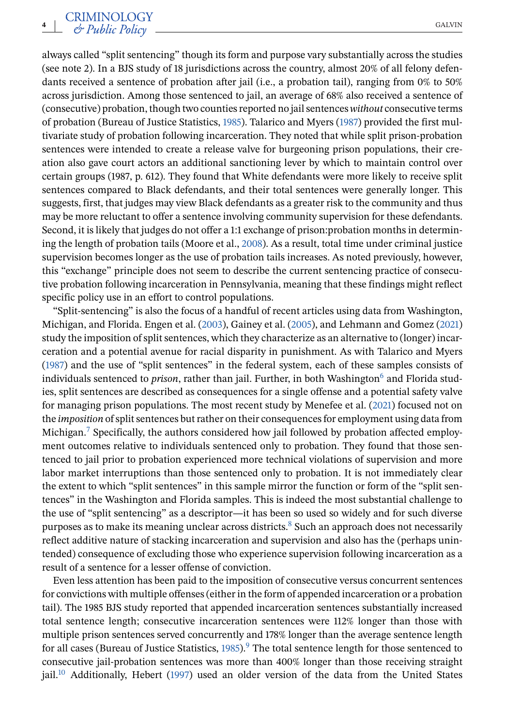always called "split sentencing" though its form and purpose vary substantially across the studies (see note 2). In a BJS study of 18 jurisdictions across the country, almost 20% of all felony defendants received a sentence of probation after jail (i.e., a probation tail), ranging from 0% to 50% across jurisdiction. Among those sentenced to jail, an average of 68% also received a sentence of (consecutive) probation, though two counties reported no jail sentences*without* consecutive terms of probation (Bureau of Justice Statistics, [1985\)](#page-23-0). Talarico and Myers [\(1987\)](#page-26-0) provided the first multivariate study of probation following incarceration. They noted that while split prison-probation sentences were intended to create a release valve for burgeoning prison populations, their creation also gave court actors an additional sanctioning lever by which to maintain control over certain groups (1987, p. 612). They found that White defendants were more likely to receive split sentences compared to Black defendants, and their total sentences were generally longer. This suggests, first, that judges may view Black defendants as a greater risk to the community and thus may be more reluctant to offer a sentence involving community supervision for these defendants. Second, it is likely that judges do not offer a 1:1 exchange of prison:probation months in determining the length of probation tails (Moore et al., [2008\)](#page-25-0). As a result, total time under criminal justice supervision becomes longer as the use of probation tails increases. As noted previously, however, this "exchange" principle does not seem to describe the current sentencing practice of consecutive probation following incarceration in Pennsylvania, meaning that these findings might reflect specific policy use in an effort to control populations.

"Split-sentencing" is also the focus of a handful of recent articles using data from Washington, Michigan, and Florida. Engen et al. [\(2003\)](#page-23-0), Gainey et al. [\(2005\)](#page-24-0), and Lehmann and Gomez [\(2021\)](#page-24-0) study the imposition of split sentences, which they characterize as an alternative to (longer) incarceration and a potential avenue for racial disparity in punishment. As with Talarico and Myers [\(1987\)](#page-26-0) and the use of "split sentences" in the federal system, each of these samples consists of individuals sentenced to *prison*, rather than jail. Further, in both Washington<sup>6</sup> and Florida studies, split sentences are described as consequences for a single offense and a potential safety valve for managing prison populations. The most recent study by Menefee et al. [\(2021\)](#page-25-0) focused not on the *imposition* of split sentences but rather on their consequences for employment using data from Michigan.<sup>7</sup> Specifically, the authors considered how jail followed by probation affected employment outcomes relative to individuals sentenced only to probation. They found that those sentenced to jail prior to probation experienced more technical violations of supervision and more labor market interruptions than those sentenced only to probation. It is not immediately clear the extent to which "split sentences" in this sample mirror the function or form of the "split sentences" in the Washington and Florida samples. This is indeed the most substantial challenge to the use of "split sentencing" as a descriptor—it has been so used so widely and for such diverse purposes as to make its meaning unclear across districts.<sup>8</sup> Such an approach does not necessarily reflect additive nature of stacking incarceration and supervision and also has the (perhaps unintended) consequence of excluding those who experience supervision following incarceration as a result of a sentence for a lesser offense of conviction.

Even less attention has been paid to the imposition of consecutive versus concurrent sentences for convictions with multiple offenses (either in the form of appended incarceration or a probation tail). The 1985 BJS study reported that appended incarceration sentences substantially increased total sentence length; consecutive incarceration sentences were 112% longer than those with multiple prison sentences served concurrently and 178% longer than the average sentence length for all cases (Bureau of Justice Statistics,  $1985$ ).<sup>9</sup> The total sentence length for those sentenced to consecutive jail-probation sentences was more than 400% longer than those receiving straight jail.<sup>10</sup> Additionally, Hebert [\(1997\)](#page-24-0) used an older version of the data from the United States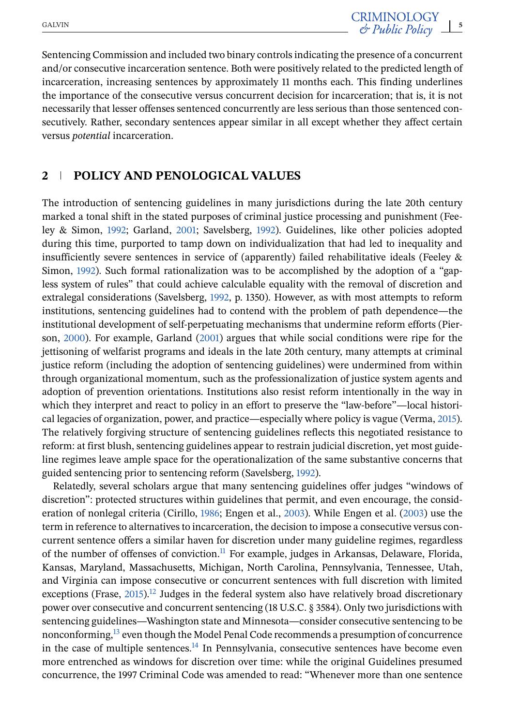Sentencing Commission and included two binary controls indicating the presence of a concurrent and/or consecutive incarceration sentence. Both were positively related to the predicted length of incarceration, increasing sentences by approximately 11 months each. This finding underlines the importance of the consecutive versus concurrent decision for incarceration; that is, it is not necessarily that lesser offenses sentenced concurrently are less serious than those sentenced consecutively. Rather, secondary sentences appear similar in all except whether they affect certain versus *potential* incarceration.

## **2 POLICY AND PENOLOGICAL VALUES**

The introduction of sentencing guidelines in many jurisdictions during the late 20th century marked a tonal shift in the stated purposes of criminal justice processing and punishment (Feeley & Simon, [1992;](#page-24-0) Garland, [2001;](#page-24-0) Savelsberg, [1992\)](#page-26-0). Guidelines, like other policies adopted during this time, purported to tamp down on individualization that had led to inequality and insufficiently severe sentences in service of (apparently) failed rehabilitative ideals (Feeley & Simon, [1992\)](#page-24-0). Such formal rationalization was to be accomplished by the adoption of a "gapless system of rules" that could achieve calculable equality with the removal of discretion and extralegal considerations (Savelsberg, [1992,](#page-26-0) p. 1350). However, as with most attempts to reform institutions, sentencing guidelines had to contend with the problem of path dependence—the institutional development of self-perpetuating mechanisms that undermine reform efforts (Pierson, [2000\)](#page-25-0). For example, Garland [\(2001\)](#page-24-0) argues that while social conditions were ripe for the jettisoning of welfarist programs and ideals in the late 20th century, many attempts at criminal justice reform (including the adoption of sentencing guidelines) were undermined from within through organizational momentum, such as the professionalization of justice system agents and adoption of prevention orientations. Institutions also resist reform intentionally in the way in which they interpret and react to policy in an effort to preserve the "law-before"—local historical legacies of organization, power, and practice—especially where policy is vague (Verma, [2015\)](#page-26-0). The relatively forgiving structure of sentencing guidelines reflects this negotiated resistance to reform: at first blush, sentencing guidelines appear to restrain judicial discretion, yet most guideline regimes leave ample space for the operationalization of the same substantive concerns that guided sentencing prior to sentencing reform (Savelsberg, [1992\)](#page-26-0).

Relatedly, several scholars argue that many sentencing guidelines offer judges "windows of discretion": protected structures within guidelines that permit, and even encourage, the consideration of nonlegal criteria (Cirillo, [1986;](#page-23-0) Engen et al., [2003\)](#page-23-0). While Engen et al. [\(2003\)](#page-23-0) use the term in reference to alternatives to incarceration, the decision to impose a consecutive versus concurrent sentence offers a similar haven for discretion under many guideline regimes, regardless of the number of offenses of conviction.<sup>11</sup> For example, judges in Arkansas, Delaware, Florida, Kansas, Maryland, Massachusetts, Michigan, North Carolina, Pennsylvania, Tennessee, Utah, and Virginia can impose consecutive or concurrent sentences with full discretion with limited exceptions (Frase,  $2015$ ).<sup>[12](#page-21-0)</sup> Judges in the federal system also have relatively broad discretionary power over consecutive and concurrent sentencing (18 U.S.C. § 3584). Only two jurisdictions with sentencing guidelines—Washington state and Minnesota—consider consecutive sentencing to be nonconforming,<sup>13</sup> even though the Model Penal Code recommends a presumption of concurrence in the case of multiple sentences. $14$  In Pennsylvania, consecutive sentences have become even more entrenched as windows for discretion over time: while the original Guidelines presumed concurrence, the 1997 Criminal Code was amended to read: "Whenever more than one sentence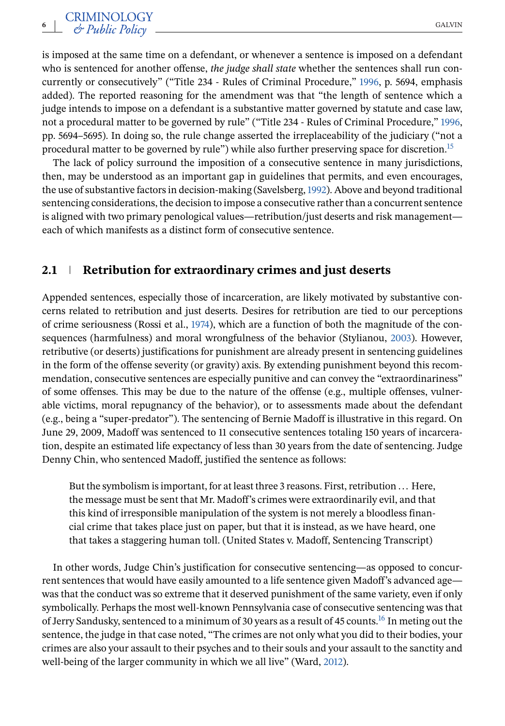is imposed at the same time on a defendant, or whenever a sentence is imposed on a defendant who is sentenced for another offense, *the judge shall state* whether the sentences shall run concurrently or consecutively" ("Title 234 - Rules of Criminal Procedure," [1996,](#page-26-0) p. 5694, emphasis added). The reported reasoning for the amendment was that "the length of sentence which a judge intends to impose on a defendant is a substantive matter governed by statute and case law, not a procedural matter to be governed by rule" ("Title 234 - Rules of Criminal Procedure," [1996,](#page-26-0) pp. 5694–5695). In doing so, the rule change asserted the irreplaceability of the judiciary ("not a procedural matter to be governed by rule") while also further preserving space for discretion.[15](#page-22-0)

The lack of policy surround the imposition of a consecutive sentence in many jurisdictions, then, may be understood as an important gap in guidelines that permits, and even encourages, the use of substantive factors in decision-making (Savelsberg,[1992\)](#page-26-0). Above and beyond traditional sentencing considerations, the decision to impose a consecutive rather than a concurrent sentence is aligned with two primary penological values—retribution/just deserts and risk management each of which manifests as a distinct form of consecutive sentence.

#### **2.1 Retribution for extraordinary crimes and just deserts**

Appended sentences, especially those of incarceration, are likely motivated by substantive concerns related to retribution and just deserts. Desires for retribution are tied to our perceptions of crime seriousness (Rossi et al., [1974\)](#page-25-0), which are a function of both the magnitude of the consequences (harmfulness) and moral wrongfulness of the behavior (Stylianou, [2003\)](#page-26-0). However, retributive (or deserts) justifications for punishment are already present in sentencing guidelines in the form of the offense severity (or gravity) axis. By extending punishment beyond this recommendation, consecutive sentences are especially punitive and can convey the "extraordinariness" of some offenses. This may be due to the nature of the offense (e.g., multiple offenses, vulnerable victims, moral repugnancy of the behavior), or to assessments made about the defendant (e.g., being a "super-predator"). The sentencing of Bernie Madoff is illustrative in this regard. On June 29, 2009, Madoff was sentenced to 11 consecutive sentences totaling 150 years of incarceration, despite an estimated life expectancy of less than 30 years from the date of sentencing. Judge Denny Chin, who sentenced Madoff, justified the sentence as follows:

But the symbolism is important, for at least three 3 reasons. First, retribution ... Here, the message must be sent that Mr. Madoff's crimes were extraordinarily evil, and that this kind of irresponsible manipulation of the system is not merely a bloodless financial crime that takes place just on paper, but that it is instead, as we have heard, one that takes a staggering human toll. (United States v. Madoff, Sentencing Transcript)

In other words, Judge Chin's justification for consecutive sentencing—as opposed to concurrent sentences that would have easily amounted to a life sentence given Madoff's advanced age was that the conduct was so extreme that it deserved punishment of the same variety, even if only symbolically. Perhaps the most well-known Pennsylvania case of consecutive sentencing was that of Jerry Sandusky, sentenced to a minimum of 30 years as a result of 45 counts.<sup>16</sup> In meting out the sentence, the judge in that case noted, "The crimes are not only what you did to their bodies, your crimes are also your assault to their psyches and to their souls and your assault to the sanctity and well-being of the larger community in which we all live" (Ward, [2012\)](#page-26-0).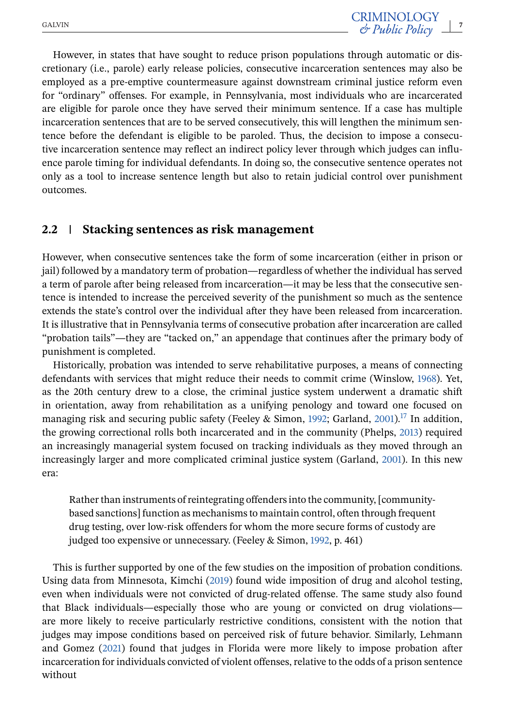However, in states that have sought to reduce prison populations through automatic or discretionary (i.e., parole) early release policies, consecutive incarceration sentences may also be employed as a pre-emptive countermeasure against downstream criminal justice reform even for "ordinary" offenses. For example, in Pennsylvania, most individuals who are incarcerated are eligible for parole once they have served their minimum sentence. If a case has multiple incarceration sentences that are to be served consecutively, this will lengthen the minimum sentence before the defendant is eligible to be paroled. Thus, the decision to impose a consecutive incarceration sentence may reflect an indirect policy lever through which judges can influence parole timing for individual defendants. In doing so, the consecutive sentence operates not only as a tool to increase sentence length but also to retain judicial control over punishment outcomes.

#### **2.2 Stacking sentences as risk management**

However, when consecutive sentences take the form of some incarceration (either in prison or jail) followed by a mandatory term of probation—regardless of whether the individual has served a term of parole after being released from incarceration—it may be less that the consecutive sentence is intended to increase the perceived severity of the punishment so much as the sentence extends the state's control over the individual after they have been released from incarceration. It is illustrative that in Pennsylvania terms of consecutive probation after incarceration are called "probation tails"—they are "tacked on," an appendage that continues after the primary body of punishment is completed.

Historically, probation was intended to serve rehabilitative purposes, a means of connecting defendants with services that might reduce their needs to commit crime (Winslow, [1968\)](#page-27-0). Yet, as the 20th century drew to a close, the criminal justice system underwent a dramatic shift in orientation, away from rehabilitation as a unifying penology and toward one focused on managing risk and securing public safety (Feeley & Simon, [1992;](#page-24-0) Garland, [2001\)](#page-24-0).<sup>17</sup> In addition, the growing correctional rolls both incarcerated and in the community (Phelps, [2013\)](#page-25-0) required an increasingly managerial system focused on tracking individuals as they moved through an increasingly larger and more complicated criminal justice system (Garland, [2001\)](#page-24-0). In this new era:

Rather than instruments of reintegrating offenders into the community, [communitybased sanctions] function as mechanisms to maintain control, often through frequent drug testing, over low-risk offenders for whom the more secure forms of custody are judged too expensive or unnecessary. (Feeley & Simon, [1992,](#page-24-0) p. 461)

This is further supported by one of the few studies on the imposition of probation conditions. Using data from Minnesota, Kimchi [\(2019\)](#page-24-0) found wide imposition of drug and alcohol testing, even when individuals were not convicted of drug-related offense. The same study also found that Black individuals—especially those who are young or convicted on drug violations are more likely to receive particularly restrictive conditions, consistent with the notion that judges may impose conditions based on perceived risk of future behavior. Similarly, Lehmann and Gomez [\(2021\)](#page-24-0) found that judges in Florida were more likely to impose probation after incarceration for individuals convicted of violent offenses, relative to the odds of a prison sentence without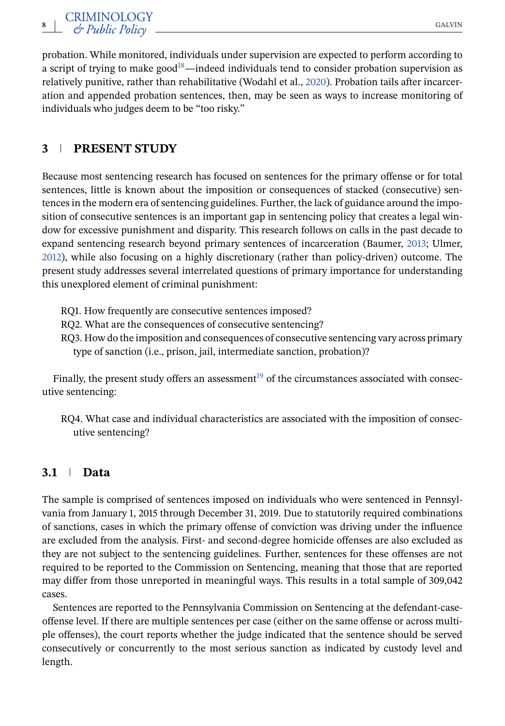probation. While monitored, individuals under supervision are expected to perform according to a script of trying to make good<sup>18</sup>—indeed individuals tend to consider probation supervision as relatively punitive, rather than rehabilitative (Wodahl et al., [2020\)](#page-27-0). Probation tails after incarceration and appended probation sentences, then, may be seen as ways to increase monitoring of individuals who judges deem to be "too risky."

## **3 PRESENT STUDY**

Because most sentencing research has focused on sentences for the primary offense or for total sentences, little is known about the imposition or consequences of stacked (consecutive) sentences in the modern era of sentencing guidelines. Further, the lack of guidance around the imposition of consecutive sentences is an important gap in sentencing policy that creates a legal window for excessive punishment and disparity. This research follows on calls in the past decade to expand sentencing research beyond primary sentences of incarceration (Baumer, [2013;](#page-23-0) Ulmer, [2012\)](#page-26-0), while also focusing on a highly discretionary (rather than policy-driven) outcome. The present study addresses several interrelated questions of primary importance for understanding this unexplored element of criminal punishment:

RQ1. How frequently are consecutive sentences imposed?

RQ2. What are the consequences of consecutive sentencing?

RQ3. How do the imposition and consequences of consecutive sentencing vary across primary type of sanction (i.e., prison, jail, intermediate sanction, probation)?

Finally, the present study offers an assessment<sup>[19](#page-22-0)</sup> of the circumstances associated with consecutive sentencing:

RQ4. What case and individual characteristics are associated with the imposition of consecutive sentencing?

#### **3.1 Data**

The sample is comprised of sentences imposed on individuals who were sentenced in Pennsylvania from January 1, 2015 through December 31, 2019. Due to statutorily required combinations of sanctions, cases in which the primary offense of conviction was driving under the influence are excluded from the analysis. First- and second-degree homicide offenses are also excluded as they are not subject to the sentencing guidelines. Further, sentences for these offenses are not required to be reported to the Commission on Sentencing, meaning that those that are reported may differ from those unreported in meaningful ways. This results in a total sample of 309,042 cases.

Sentences are reported to the Pennsylvania Commission on Sentencing at the defendant-caseoffense level. If there are multiple sentences per case (either on the same offense or across multiple offenses), the court reports whether the judge indicated that the sentence should be served consecutively or concurrently to the most serious sanction as indicated by custody level and length.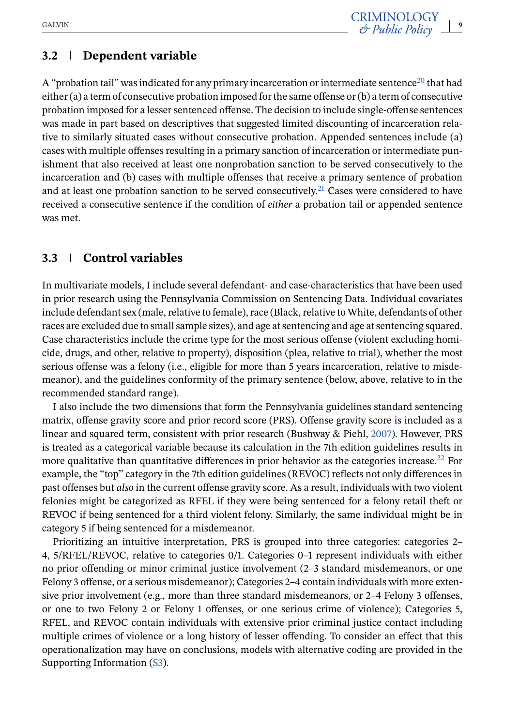# **3.2 Dependent variable**

A "probation tail" was indicated for any primary incarceration or intermediate sentence<sup>20</sup> that had either (a) a term of consecutive probation imposed for the same offense or (b) a term of consecutive probation imposed for a lesser sentenced offense. The decision to include single-offense sentences was made in part based on descriptives that suggested limited discounting of incarceration relative to similarly situated cases without consecutive probation. Appended sentences include (a) cases with multiple offenses resulting in a primary sanction of incarceration or intermediate punishment that also received at least one nonprobation sanction to be served consecutively to the incarceration and (b) cases with multiple offenses that receive a primary sentence of probation and at least one probation sanction to be served consecutively.<sup>21</sup> Cases were considered to have received a consecutive sentence if the condition of *either* a probation tail or appended sentence was met.

## **3.3 Control variables**

In multivariate models, I include several defendant- and case-characteristics that have been used in prior research using the Pennsylvania Commission on Sentencing Data. Individual covariates include defendant sex (male, relative to female), race (Black, relative to White, defendants of other races are excluded due to small sample sizes), and age at sentencing and age at sentencing squared. Case characteristics include the crime type for the most serious offense (violent excluding homicide, drugs, and other, relative to property), disposition (plea, relative to trial), whether the most serious offense was a felony (i.e., eligible for more than 5 years incarceration, relative to misdemeanor), and the guidelines conformity of the primary sentence (below, above, relative to in the recommended standard range).

I also include the two dimensions that form the Pennsylvania guidelines standard sentencing matrix, offense gravity score and prior record score (PRS). Offense gravity score is included as a linear and squared term, consistent with prior research (Bushway & Piehl, [2007\)](#page-23-0). However, PRS is treated as a categorical variable because its calculation in the 7th edition guidelines results in more qualitative than quantitative differences in prior behavior as the categories increase.<sup>[22](#page-22-0)</sup> For example, the "top" category in the 7th edition guidelines (REVOC) reflects not only differences in past offenses but *also* in the current offense gravity score. As a result, individuals with two violent felonies might be categorized as RFEL if they were being sentenced for a felony retail theft or REVOC if being sentenced for a third violent felony. Similarly, the same individual might be in category 5 if being sentenced for a misdemeanor.

Prioritizing an intuitive interpretation, PRS is grouped into three categories: categories 2– 4, 5/RFEL/REVOC, relative to categories 0/1. Categories 0–1 represent individuals with either no prior offending or minor criminal justice involvement (2–3 standard misdemeanors, or one Felony 3 offense, or a serious misdemeanor); Categories 2–4 contain individuals with more extensive prior involvement (e.g., more than three standard misdemeanors, or 2–4 Felony 3 offenses, or one to two Felony 2 or Felony 1 offenses, or one serious crime of violence); Categories 5, RFEL, and REVOC contain individuals with extensive prior criminal justice contact including multiple crimes of violence or a long history of lesser offending. To consider an effect that this operationalization may have on conclusions, models with alternative coding are provided in the Supporting Information (S3).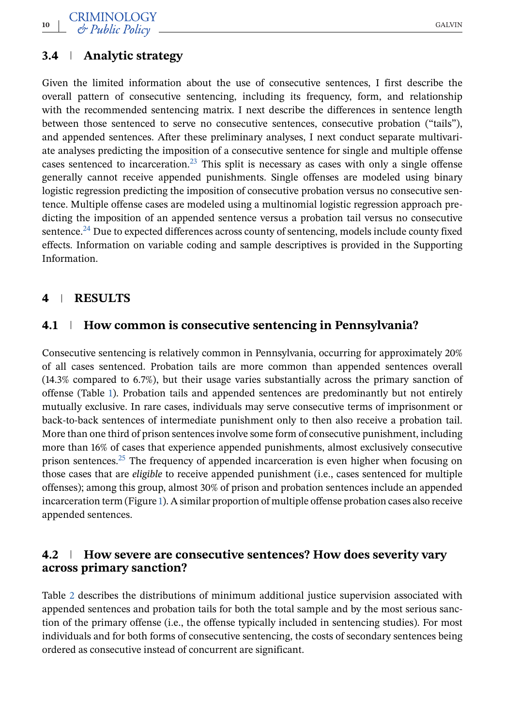## **3.4 Analytic strategy**

Given the limited information about the use of consecutive sentences, I first describe the overall pattern of consecutive sentencing, including its frequency, form, and relationship with the recommended sentencing matrix. I next describe the differences in sentence length between those sentenced to serve no consecutive sentences, consecutive probation ("tails"), and appended sentences. After these preliminary analyses, I next conduct separate multivariate analyses predicting the imposition of a consecutive sentence for single and multiple offense cases sentenced to incarceration.<sup>23</sup> This split is necessary as cases with only a single offense generally cannot receive appended punishments. Single offenses are modeled using binary logistic regression predicting the imposition of consecutive probation versus no consecutive sentence. Multiple offense cases are modeled using a multinomial logistic regression approach predicting the imposition of an appended sentence versus a probation tail versus no consecutive sentence.<sup>24</sup> Due to expected differences across county of sentencing, models include county fixed effects. Information on variable coding and sample descriptives is provided in the Supporting Information.

#### **4 RESULTS**

#### **4.1 How common is consecutive sentencing in Pennsylvania?**

Consecutive sentencing is relatively common in Pennsylvania, occurring for approximately 20% of all cases sentenced. Probation tails are more common than appended sentences overall (14.3% compared to 6.7%), but their usage varies substantially across the primary sanction of offense (Table [1\)](#page-10-0). Probation tails and appended sentences are predominantly but not entirely mutually exclusive. In rare cases, individuals may serve consecutive terms of imprisonment or back-to-back sentences of intermediate punishment only to then also receive a probation tail. More than one third of prison sentences involve some form of consecutive punishment, including more than 16% of cases that experience appended punishments, almost exclusively consecutive prison sentences[.25](#page-22-0) The frequency of appended incarceration is even higher when focusing on those cases that are *eligible* to receive appended punishment (i.e., cases sentenced for multiple offenses); among this group, almost 30% of prison and probation sentences include an appended incarceration term (Figure [1\)](#page-12-0). A similar proportion of multiple offense probation cases also receive appended sentences.

#### **4.2 How severe are consecutive sentences? How does severity vary across primary sanction?**

Table [2](#page-11-0) describes the distributions of minimum additional justice supervision associated with appended sentences and probation tails for both the total sample and by the most serious sanction of the primary offense (i.e., the offense typically included in sentencing studies). For most individuals and for both forms of consecutive sentencing, the costs of secondary sentences being ordered as consecutive instead of concurrent are significant.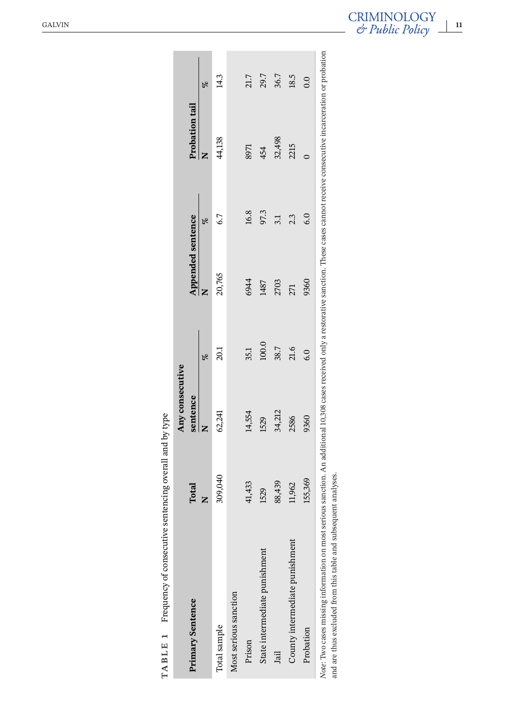<span id="page-10-0"></span>

| Primary Sentence               | Total   | Any consecutive<br>sentence |       | <b>Appended sentence</b> |      | Probation tail |                  |
|--------------------------------|---------|-----------------------------|-------|--------------------------|------|----------------|------------------|
|                                |         |                             |       |                          | olo  |                | olo              |
| Total sample                   | 309,040 | 62,241                      | 20.1  | 20,765                   | 6.7  | 44,138         | 14.3             |
| Most serious sanction          |         |                             |       |                          |      |                |                  |
| Prison                         | 41,433  | 14,554                      | 35.1  | 6944                     | 16.8 | 8971           | 21.7             |
| State intermediate punishment  | 1529    | 1529                        | 100.0 | 1487                     | 97.3 | 454            | 29.7             |
| Jail                           | 88,439  | 34,212                      | 38.7  | 2703                     | 3.1  | 32,498         | 36.7             |
| County intermediate punishment | 11,962  | 2586                        | 21.6  | 271                      | 2.3  | 2215           | 18.5             |
| Probation                      | 155,369 | 9360                        | 6.0   | 9360                     | 6.0  |                | $\overline{0}$ . |

| .<br>.<br>.   |
|---------------|
|               |
|               |
| j<br>i        |
| ۱             |
| $\frac{1}{2}$ |
|               |
|               |
|               |
|               |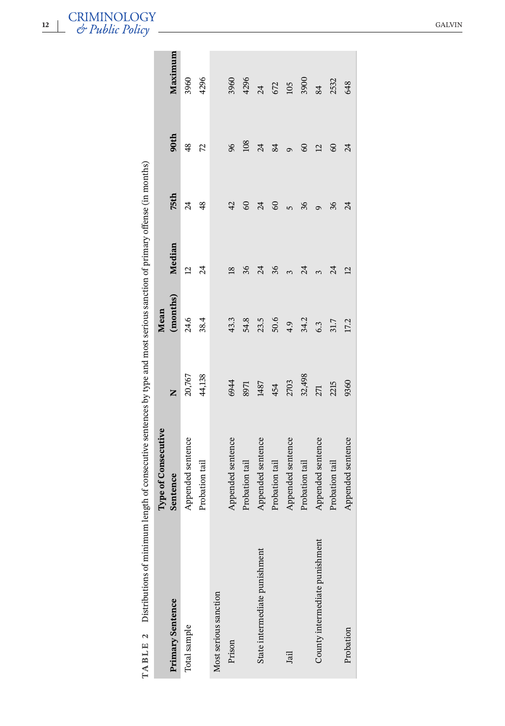| Primary Sentence               | Type of Consecutive<br>Sentence | Z      | (months)<br>Mean | Median          | 75th                     | 90th           | Maximum                  |
|--------------------------------|---------------------------------|--------|------------------|-----------------|--------------------------|----------------|--------------------------|
|                                |                                 |        |                  |                 |                          |                |                          |
| Total sample                   | Appended sentence               | 20,767 | 24.6             | $\overline{a}$  | $\overline{\mathcal{A}}$ | $\frac{48}{5}$ | 3960                     |
|                                | Probation tail                  | 44,138 | 38.4             | $\overline{a}$  | 48                       | 72             | 4296                     |
| Most serious sanction          |                                 |        |                  |                 |                          |                |                          |
| Prison                         | Appended sentence               | 6944   | 43.3             | $\overline{18}$ | 42                       | 96             | 3960                     |
|                                | Probation tail                  | 8971   | 54.8             | 36              | $\mathcal{S}$            | 108            | 4296                     |
| State intermediate punishment  | Appended sentence               | 1487   | 23.5             | 24              | $\overline{24}$          | 24             | $\overline{\mathcal{A}}$ |
|                                | Probation tail                  | 454    | 50.6             | 36              | $\infty$                 | 84             | 672                      |
| Jail                           | Appended sentence               | 2703   | 4.9              | $\infty$        | $\overline{5}$           | $\sigma$       | 105                      |
|                                | Probation tail                  | 32,498 | 34.2             | र्द             | 36                       | 3              | 3900                     |
| County intermediate punishment | Appended sentence               | 271    | 6.3              |                 | $\sigma$                 | $\overline{a}$ | 84                       |
|                                | Probation tail                  | 2215   | 31.7             | र्द             | 36                       | $\mathcal{S}$  | 2532                     |
| Probation                      | Appended sentence               | 9360   | 17.2             | $\overline{c}$  | र्द                      | $\mathcal{Z}$  | 648                      |
|                                |                                 |        |                  |                 |                          |                |                          |

<span id="page-11-0"></span>**12** CRIMINOLOGY<br>  $\stackrel{\text{12}}{\text{•}}$   $\stackrel{\text{13}}{\text{•}}$   $\stackrel{\text{24}}{\text{•}}$   $\stackrel{\text{25}}{\text{•}}$   $\stackrel{\text{264VIN}}{\text{•}}$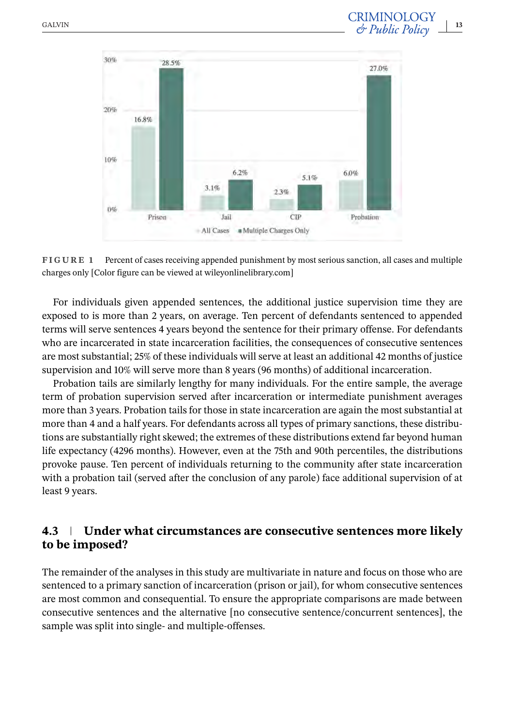<span id="page-12-0"></span>

**FIGURE 1** Percent of cases receiving appended punishment by most serious sanction, all cases and multiple charges only [Color figure can be viewed at wileyonlinelibrary.com]

For individuals given appended sentences, the additional justice supervision time they are exposed to is more than 2 years, on average. Ten percent of defendants sentenced to appended terms will serve sentences 4 years beyond the sentence for their primary offense. For defendants who are incarcerated in state incarceration facilities, the consequences of consecutive sentences are most substantial; 25% of these individuals will serve at least an additional 42 months of justice supervision and 10% will serve more than 8 years (96 months) of additional incarceration.

Probation tails are similarly lengthy for many individuals. For the entire sample, the average term of probation supervision served after incarceration or intermediate punishment averages more than 3 years. Probation tails for those in state incarceration are again the most substantial at more than 4 and a half years. For defendants across all types of primary sanctions, these distributions are substantially right skewed; the extremes of these distributions extend far beyond human life expectancy (4296 months). However, even at the 75th and 90th percentiles, the distributions provoke pause. Ten percent of individuals returning to the community after state incarceration with a probation tail (served after the conclusion of any parole) face additional supervision of at least 9 years.

## **4.3 Under what circumstances are consecutive sentences more likely to be imposed?**

The remainder of the analyses in this study are multivariate in nature and focus on those who are sentenced to a primary sanction of incarceration (prison or jail), for whom consecutive sentences are most common and consequential. To ensure the appropriate comparisons are made between consecutive sentences and the alternative [no consecutive sentence/concurrent sentences], the sample was split into single- and multiple-offenses.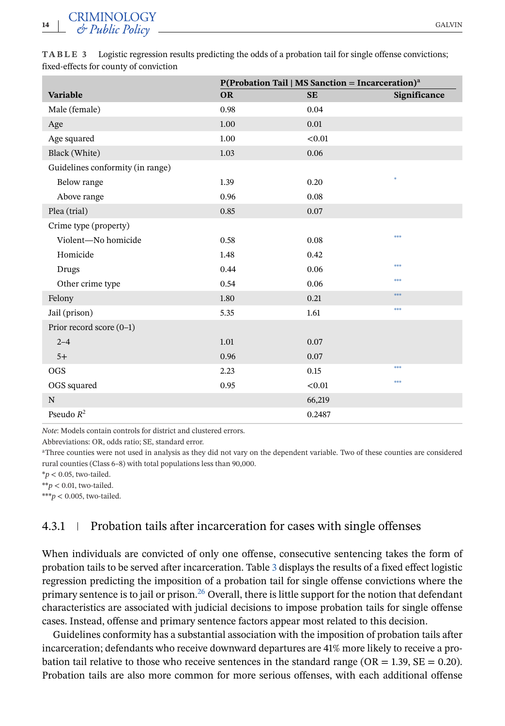**CRIMINOLOGY** <sup>14</sup>  $\rightarrow$  GALVIN GALVIN GALVIN

|                                  |           | P(Probation Tail   MS Sanction = Incarceration) <sup>a</sup> |              |
|----------------------------------|-----------|--------------------------------------------------------------|--------------|
| <b>Variable</b>                  | <b>OR</b> | <b>SE</b>                                                    | Significance |
| Male (female)                    | 0.98      | 0.04                                                         |              |
| Age                              | 1.00      | 0.01                                                         |              |
| Age squared                      | 1.00      | < 0.01                                                       |              |
| Black (White)                    | 1.03      | 0.06                                                         |              |
| Guidelines conformity (in range) |           |                                                              |              |
| Below range                      | 1.39      | 0.20                                                         | sk.          |
| Above range                      | 0.96      | 0.08                                                         |              |
| Plea (trial)                     | 0.85      | 0.07                                                         |              |
| Crime type (property)            |           |                                                              |              |
| Violent-No homicide              | 0.58      | 0.08                                                         | ***          |
| Homicide                         | 1.48      | 0.42                                                         |              |
| Drugs                            | 0.44      | 0.06                                                         | sk skok      |
| Other crime type                 | 0.54      | 0.06                                                         | sk skok      |
| Felony                           | 1.80      | 0.21                                                         | ***          |
| Jail (prison)                    | 5.35      | 1.61                                                         | ***          |
| Prior record score (0-1)         |           |                                                              |              |
| $2 - 4$                          | 1.01      | 0.07                                                         |              |
| $5+$                             | 0.96      | 0.07                                                         |              |
| <b>OGS</b>                       | 2.23      | 0.15                                                         | ***          |
| OGS squared                      | 0.95      | < 0.01                                                       | ***          |
| N                                |           | 66,219                                                       |              |
| Pseudo $R^2$                     |           | 0.2487                                                       |              |

**TABLE 3** Logistic regression results predicting the odds of a probation tail for single offense convictions; fixed-effects for county of conviction

*Note*: Models contain controls for district and clustered errors.

Abbreviations: OR, odds ratio; SE, standard error.

<sup>a</sup>Three counties were not used in analysis as they did not vary on the dependent variable. Two of these counties are considered rural counties (Class 6–8) with total populations less than 90,000.

 $**p* < 0.05$ , two-tailed.

 $**p < 0.01$ , two-tailed.

\*\*\* $p$  < 0.005, two-tailed.

#### 4.3.1 Probation tails after incarceration for cases with single offenses

When individuals are convicted of only one offense, consecutive sentencing takes the form of probation tails to be served after incarceration. Table 3 displays the results of a fixed effect logistic regression predicting the imposition of a probation tail for single offense convictions where the primary sentence is to jail or prison.<sup>26</sup> Overall, there is little support for the notion that defendant characteristics are associated with judicial decisions to impose probation tails for single offense cases. Instead, offense and primary sentence factors appear most related to this decision.

Guidelines conformity has a substantial association with the imposition of probation tails after incarceration; defendants who receive downward departures are 41% more likely to receive a probation tail relative to those who receive sentences in the standard range (OR = 1.39, SE = 0.20). Probation tails are also more common for more serious offenses, with each additional offense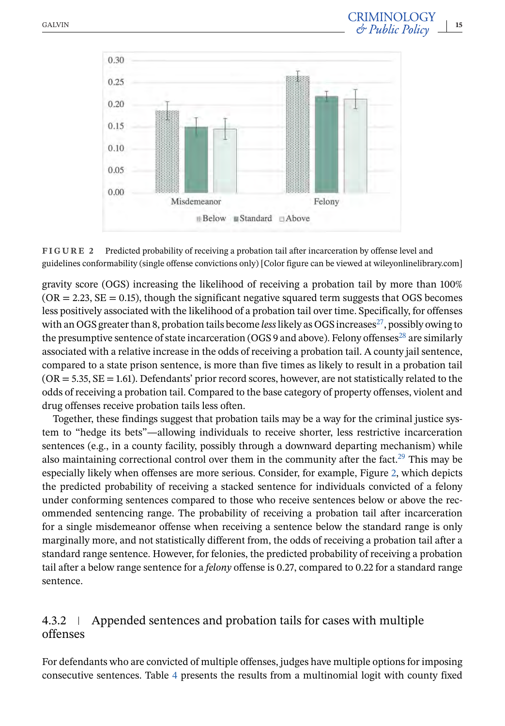

**FIGURE 2** Predicted probability of receiving a probation tail after incarceration by offense level and guidelines conformability (single offense convictions only) [Color figure can be viewed at wileyonlinelibrary.com]

gravity score (OGS) increasing the likelihood of receiving a probation tail by more than 100%  $(OR = 2.23, SE = 0.15)$ , though the significant negative squared term suggests that OGS becomes less positively associated with the likelihood of a probation tail over time. Specifically, for offenses with an OGS greater than 8, probation tails become *less* likely as OGS increases<sup>27</sup>, possibly owing to the presumptive sentence of state incarceration (OGS 9 and above). Felony offenses<sup>28</sup> are similarly associated with a relative increase in the odds of receiving a probation tail. A county jail sentence, compared to a state prison sentence, is more than five times as likely to result in a probation tail  $(OR = 5.35, SE = 1.61)$ . Defendants' prior record scores, however, are not statistically related to the odds of receiving a probation tail. Compared to the base category of property offenses, violent and drug offenses receive probation tails less often.

Together, these findings suggest that probation tails may be a way for the criminal justice system to "hedge its bets"—allowing individuals to receive shorter, less restrictive incarceration sentences (e.g., in a county facility, possibly through a downward departing mechanism) while also maintaining correctional control over them in the community after the fact.<sup>29</sup> This may be especially likely when offenses are more serious. Consider, for example, Figure 2, which depicts the predicted probability of receiving a stacked sentence for individuals convicted of a felony under conforming sentences compared to those who receive sentences below or above the recommended sentencing range. The probability of receiving a probation tail after incarceration for a single misdemeanor offense when receiving a sentence below the standard range is only marginally more, and not statistically different from, the odds of receiving a probation tail after a standard range sentence. However, for felonies, the predicted probability of receiving a probation tail after a below range sentence for a *felony* offense is 0.27, compared to 0.22 for a standard range sentence.

## 4.3.2 Appended sentences and probation tails for cases with multiple offenses

For defendants who are convicted of multiple offenses, judges have multiple options for imposing consecutive sentences. Table [4](#page-15-0) presents the results from a multinomial logit with county fixed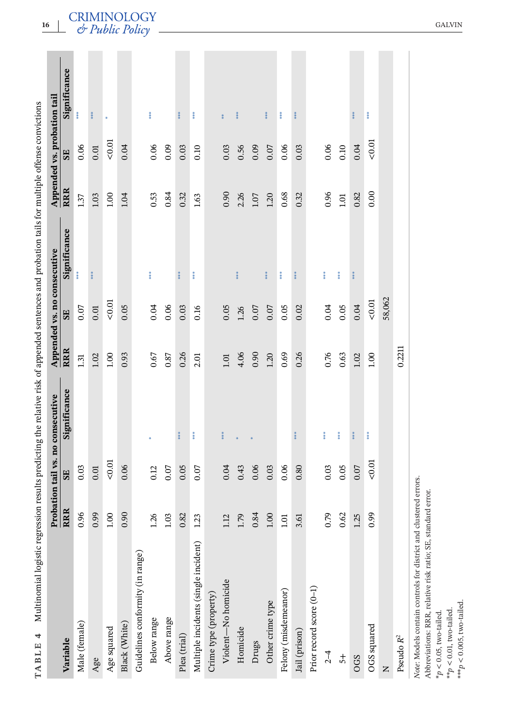| Multinomial logistic regression results predicting the relative risk of appended sentences and probation tails for multiple offense convictions |                  |      | Probation tail vs. no consecutive |            | Appended vs. no consecutive |               |            | Appended vs. probation tail |               |
|-------------------------------------------------------------------------------------------------------------------------------------------------|------------------|------|-----------------------------------|------------|-----------------------------|---------------|------------|-----------------------------|---------------|
| Variable                                                                                                                                        | RRR              | SE   | Significance                      | <b>RRR</b> | SE                          | Significance  | <b>RRR</b> | SE                          | Significance  |
| Male (female)                                                                                                                                   | 0.96             | 0.03 |                                   | 1.31       | 0.07                        | 좊             | 1.37       | 0.06                        | 蓬             |
| Age                                                                                                                                             | 0.99             | 0.01 |                                   | 1.02       | 0.01                        | ***           | 1.03       | 0.01                        | $*$           |
| Age squared                                                                                                                                     | 00.1             | 0.01 |                                   | 1.00       | 0.01                        |               | $1.00\,$   | 0.01                        |               |
| Black (White)                                                                                                                                   | 0.90             | 0.06 |                                   | 0.93       | 0.05                        |               | 1.04       | 0.04                        |               |
| Guidelines conformity (in range)                                                                                                                |                  |      |                                   |            |                             |               |            |                             |               |
| Below range                                                                                                                                     | 26               | 0.12 |                                   | 0.67       | 0.04                        | 黄菜            | 0.53       | 0.06                        | 菜茶            |
| Above range                                                                                                                                     | 1.03             | 0.07 |                                   | 0.87       | 0.06                        |               | 0.84       | 0.09                        |               |
| Plea (trial)                                                                                                                                    | 0.82             | 0.05 | $*$                               | 0.26       | 0.03                        | $*$           | 0.32       | 0.03                        | ***           |
| Multiple incidents (single incident)                                                                                                            | .23              | 0.07 | 喜美                                | 2.01       | 0.16                        | 喜美            | 1.63       | 0.10                        | 美米            |
| Crime type (property)                                                                                                                           |                  |      |                                   |            |                             |               |            |                             |               |
| Violent-No homicide                                                                                                                             | 12               | 0.04 | ***                               | 1.01       | 0.05                        |               | 0.90       | 0.03                        | $*$           |
| Homicide                                                                                                                                        | $\overline{.79}$ | 0.43 | $\frac{1}{N}$                     | 4.06       | 1.26                        | ***           | 2.26       | 0.56                        | $*$           |
| Drugs                                                                                                                                           | 0.84             | 0.06 |                                   | 0.90       | 0.07                        |               | 1.07       | 0.09                        |               |
| Other crime type                                                                                                                                | 00.1             | 0.03 |                                   | 1.20       | 0.07                        | ***           | 1.20       | 0.07                        | ***           |
| Felony (misdemeanor)                                                                                                                            | 1.01             | 0.06 |                                   | 0.69       | 0.05                        | $\frac{1}{2}$ | 0.68       | 0.06                        | 喜美            |
| Jail (prison)                                                                                                                                   | 3.61             | 0.80 |                                   | 0.26       | 0.02                        | $\frac{1}{2}$ | 0.32       | 0.03                        | $\frac{1}{2}$ |
| Prior record score (0-1)                                                                                                                        |                  |      |                                   |            |                             |               |            |                             |               |
| $2 - 4$                                                                                                                                         | 0.79             | 0.03 | ***                               | 0.76       | 0.04                        | ***           | 0.96       | 0.06                        |               |
| $\overline{5}$                                                                                                                                  | 0.62             | 0.05 | ***                               | 0.63       | 0.05                        | ***           | 1.01       | 0.10                        |               |
| <b>OGS</b>                                                                                                                                      | .25              | 0.07 | ***                               | 1.02       | 0.04                        | $* *$         | 0.82       | 0.04                        | ***           |
| OGS squared                                                                                                                                     | 0.99             | 0.01 | **                                | 1.00       | 0.01                        |               | 0.00       | 0.01                        | **            |
| $\mathsf{z}$                                                                                                                                    |                  |      |                                   |            | 58,062                      |               |            |                             |               |
| Pseudo $R^2$                                                                                                                                    |                  |      |                                   | 0.2211     |                             |               |            |                             |               |
| Note: Models contain controls for district and clustered errors.                                                                                |                  |      |                                   |            |                             |               |            |                             |               |

<span id="page-15-0"></span>

r.

 $\overline{\phantom{a}}$ 

\*\*\* $p$  < 0.005, two-tailed. \*\*\**p* < 0.005, two-tailed. $^{**}p<0.01,$  two-tailed. \*\**p* < 0.01, two-tailed.

\**p* < 0.05, two-tailed.

 $*p < 0.05$ , two-tailed.

Abbreviations: RRR, relative risk ratio; SE, standard error.

Abbreviations: RRR, relative risk ratio; SE, standard error.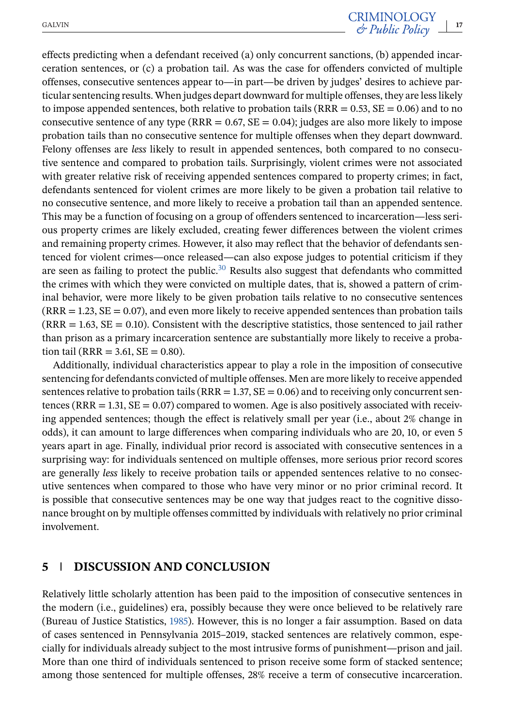effects predicting when a defendant received (a) only concurrent sanctions, (b) appended incarceration sentences, or (c) a probation tail. As was the case for offenders convicted of multiple offenses, consecutive sentences appear to—in part—be driven by judges' desires to achieve particular sentencing results. When judges depart downward for multiple offenses, they are less likely to impose appended sentences, both relative to probation tails ( $RRR = 0.53$ ,  $SE = 0.06$ ) and to no consecutive sentence of any type ( $RRR = 0.67$ ,  $SE = 0.04$ ); judges are also more likely to impose probation tails than no consecutive sentence for multiple offenses when they depart downward. Felony offenses are *less* likely to result in appended sentences, both compared to no consecutive sentence and compared to probation tails. Surprisingly, violent crimes were not associated with greater relative risk of receiving appended sentences compared to property crimes; in fact, defendants sentenced for violent crimes are more likely to be given a probation tail relative to no consecutive sentence, and more likely to receive a probation tail than an appended sentence. This may be a function of focusing on a group of offenders sentenced to incarceration—less serious property crimes are likely excluded, creating fewer differences between the violent crimes and remaining property crimes. However, it also may reflect that the behavior of defendants sentenced for violent crimes—once released—can also expose judges to potential criticism if they are seen as failing to protect the public.<sup>30</sup> Results also suggest that defendants who committed the crimes with which they were convicted on multiple dates, that is, showed a pattern of criminal behavior, were more likely to be given probation tails relative to no consecutive sentences  $(RRR = 1.23, SE = 0.07)$ , and even more likely to receive appended sentences than probation tails  $(RRR = 1.63, SE = 0.10)$ . Consistent with the descriptive statistics, those sentenced to jail rather than prison as a primary incarceration sentence are substantially more likely to receive a probation tail (RRR = 3.61, SE =  $0.80$ ).

Additionally, individual characteristics appear to play a role in the imposition of consecutive sentencing for defendants convicted of multiple offenses. Men are more likely to receive appended sentences relative to probation tails ( $RRR = 1.37$ ,  $SE = 0.06$ ) and to receiving only concurrent sentences ( $RRR = 1.31$ ,  $SE = 0.07$ ) compared to women. Age is also positively associated with receiving appended sentences; though the effect is relatively small per year (i.e., about 2% change in odds), it can amount to large differences when comparing individuals who are 20, 10, or even 5 years apart in age. Finally, individual prior record is associated with consecutive sentences in a surprising way: for individuals sentenced on multiple offenses, more serious prior record scores are generally *less* likely to receive probation tails or appended sentences relative to no consecutive sentences when compared to those who have very minor or no prior criminal record. It is possible that consecutive sentences may be one way that judges react to the cognitive dissonance brought on by multiple offenses committed by individuals with relatively no prior criminal involvement.

## **5 DISCUSSION AND CONCLUSION**

Relatively little scholarly attention has been paid to the imposition of consecutive sentences in the modern (i.e., guidelines) era, possibly because they were once believed to be relatively rare (Bureau of Justice Statistics, [1985\)](#page-23-0). However, this is no longer a fair assumption. Based on data of cases sentenced in Pennsylvania 2015–2019, stacked sentences are relatively common, especially for individuals already subject to the most intrusive forms of punishment—prison and jail. More than one third of individuals sentenced to prison receive some form of stacked sentence; among those sentenced for multiple offenses, 28% receive a term of consecutive incarceration.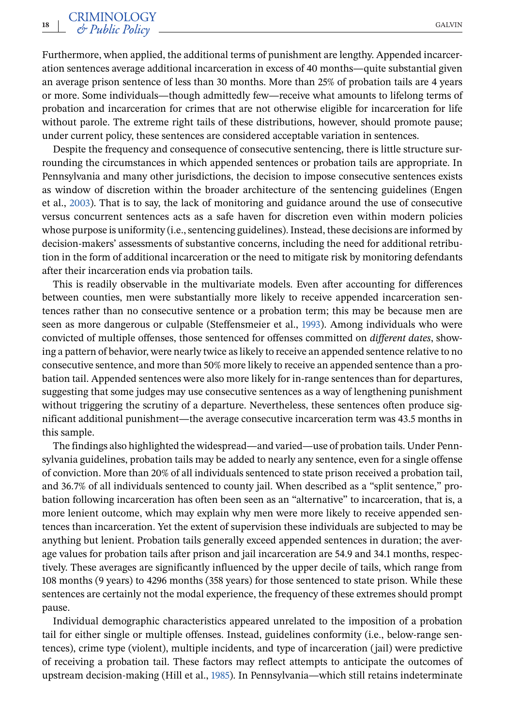Furthermore, when applied, the additional terms of punishment are lengthy. Appended incarceration sentences average additional incarceration in excess of 40 months—quite substantial given an average prison sentence of less than 30 months. More than 25% of probation tails are 4 years or more. Some individuals—though admittedly few—receive what amounts to lifelong terms of probation and incarceration for crimes that are not otherwise eligible for incarceration for life without parole. The extreme right tails of these distributions, however, should promote pause; under current policy, these sentences are considered acceptable variation in sentences.

Despite the frequency and consequence of consecutive sentencing, there is little structure surrounding the circumstances in which appended sentences or probation tails are appropriate. In Pennsylvania and many other jurisdictions, the decision to impose consecutive sentences exists as window of discretion within the broader architecture of the sentencing guidelines (Engen et al., [2003\)](#page-23-0). That is to say, the lack of monitoring and guidance around the use of consecutive versus concurrent sentences acts as a safe haven for discretion even within modern policies whose purpose is uniformity (i.e., sentencing guidelines). Instead, these decisions are informed by decision-makers' assessments of substantive concerns, including the need for additional retribution in the form of additional incarceration or the need to mitigate risk by monitoring defendants after their incarceration ends via probation tails.

This is readily observable in the multivariate models. Even after accounting for differences between counties, men were substantially more likely to receive appended incarceration sentences rather than no consecutive sentence or a probation term; this may be because men are seen as more dangerous or culpable (Steffensmeier et al., [1993\)](#page-26-0). Among individuals who were convicted of multiple offenses, those sentenced for offenses committed on *different dates*, showing a pattern of behavior, were nearly twice as likely to receive an appended sentence relative to no consecutive sentence, and more than 50% more likely to receive an appended sentence than a probation tail. Appended sentences were also more likely for in-range sentences than for departures, suggesting that some judges may use consecutive sentences as a way of lengthening punishment without triggering the scrutiny of a departure. Nevertheless, these sentences often produce significant additional punishment—the average consecutive incarceration term was 43.5 months in this sample.

The findings also highlighted the widespread—and varied—use of probation tails. Under Pennsylvania guidelines, probation tails may be added to nearly any sentence, even for a single offense of conviction. More than 20% of all individuals sentenced to state prison received a probation tail, and 36.7% of all individuals sentenced to county jail. When described as a "split sentence," probation following incarceration has often been seen as an "alternative" to incarceration, that is, a more lenient outcome, which may explain why men were more likely to receive appended sentences than incarceration. Yet the extent of supervision these individuals are subjected to may be anything but lenient. Probation tails generally exceed appended sentences in duration; the average values for probation tails after prison and jail incarceration are 54.9 and 34.1 months, respectively. These averages are significantly influenced by the upper decile of tails, which range from 108 months (9 years) to 4296 months (358 years) for those sentenced to state prison. While these sentences are certainly not the modal experience, the frequency of these extremes should prompt pause.

Individual demographic characteristics appeared unrelated to the imposition of a probation tail for either single or multiple offenses. Instead, guidelines conformity (i.e., below-range sentences), crime type (violent), multiple incidents, and type of incarceration (jail) were predictive of receiving a probation tail. These factors may reflect attempts to anticipate the outcomes of upstream decision-making (Hill et al., [1985\)](#page-24-0). In Pennsylvania—which still retains indeterminate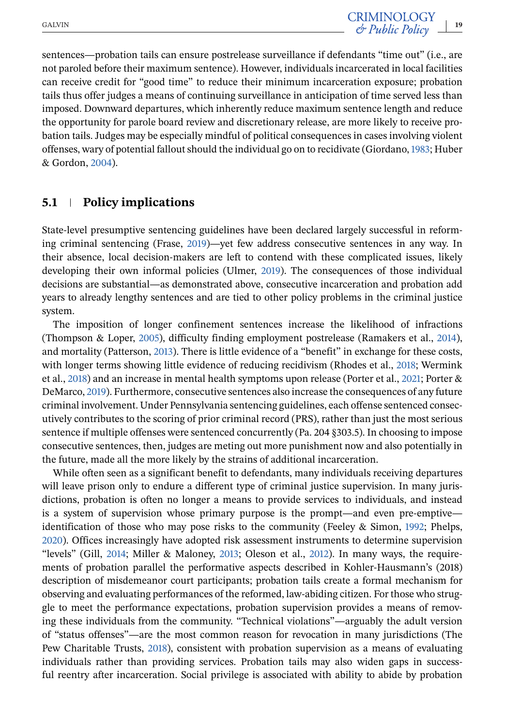sentences—probation tails can ensure postrelease surveillance if defendants "time out" (i.e., are not paroled before their maximum sentence). However, individuals incarcerated in local facilities can receive credit for "good time" to reduce their minimum incarceration exposure; probation tails thus offer judges a means of continuing surveillance in anticipation of time served less than imposed. Downward departures, which inherently reduce maximum sentence length and reduce the opportunity for parole board review and discretionary release, are more likely to receive probation tails. Judges may be especially mindful of political consequences in cases involving violent offenses, wary of potential fallout should the individual go on to recidivate (Giordano,[1983;](#page-24-0) Huber & Gordon, [2004\)](#page-24-0).

#### **5.1 Policy implications**

State-level presumptive sentencing guidelines have been declared largely successful in reforming criminal sentencing (Frase, [2019\)](#page-24-0)—yet few address consecutive sentences in any way. In their absence, local decision-makers are left to contend with these complicated issues, likely developing their own informal policies (Ulmer, [2019\)](#page-26-0). The consequences of those individual decisions are substantial—as demonstrated above, consecutive incarceration and probation add years to already lengthy sentences and are tied to other policy problems in the criminal justice system.

The imposition of longer confinement sentences increase the likelihood of infractions (Thompson & Loper, [2005\)](#page-26-0), difficulty finding employment postrelease (Ramakers et al., [2014\)](#page-25-0), and mortality (Patterson, [2013\)](#page-25-0). There is little evidence of a "benefit" in exchange for these costs, with longer terms showing little evidence of reducing recidivism (Rhodes et al., [2018;](#page-25-0) Wermink et al., [2018\)](#page-27-0) and an increase in mental health symptoms upon release (Porter et al., [2021;](#page-25-0) Porter & DeMarco, [2019\)](#page-25-0). Furthermore, consecutive sentences also increase the consequences of any future criminal involvement. Under Pennsylvania sentencing guidelines, each offense sentenced consecutively contributes to the scoring of prior criminal record (PRS), rather than just the most serious sentence if multiple offenses were sentenced concurrently (Pa. 204 §303.5). In choosing to impose consecutive sentences, then, judges are meting out more punishment now and also potentially in the future, made all the more likely by the strains of additional incarceration.

While often seen as a significant benefit to defendants, many individuals receiving departures will leave prison only to endure a different type of criminal justice supervision. In many jurisdictions, probation is often no longer a means to provide services to individuals, and instead is a system of supervision whose primary purpose is the prompt—and even pre-emptive identification of those who may pose risks to the community (Feeley & Simon, [1992;](#page-24-0) Phelps, [2020\)](#page-25-0). Offices increasingly have adopted risk assessment instruments to determine supervision "levels" (Gill, [2014;](#page-24-0) Miller & Maloney, [2013;](#page-25-0) Oleson et al., [2012\)](#page-25-0). In many ways, the requirements of probation parallel the performative aspects described in Kohler-Hausmann's (2018) description of misdemeanor court participants; probation tails create a formal mechanism for observing and evaluating performances of the reformed, law-abiding citizen. For those who struggle to meet the performance expectations, probation supervision provides a means of removing these individuals from the community. "Technical violations"—arguably the adult version of "status offenses"—are the most common reason for revocation in many jurisdictions (The Pew Charitable Trusts, [2018\)](#page-26-0), consistent with probation supervision as a means of evaluating individuals rather than providing services. Probation tails may also widen gaps in successful reentry after incarceration. Social privilege is associated with ability to abide by probation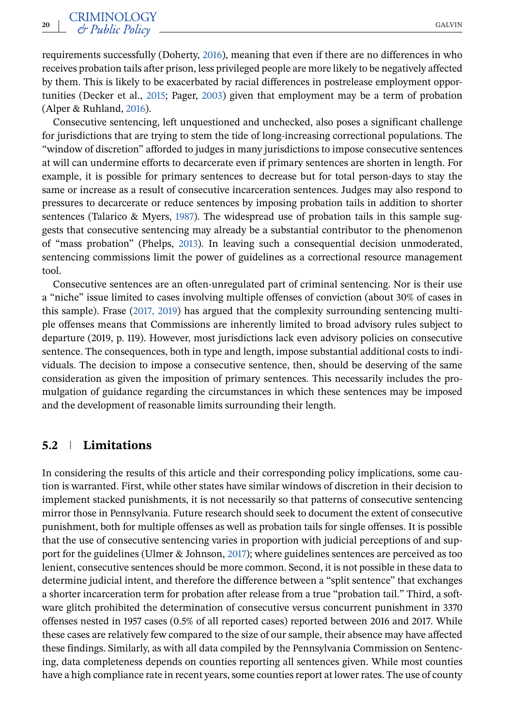requirements successfully (Doherty, [2016\)](#page-23-0), meaning that even if there are no differences in who receives probation tails after prison, less privileged people are more likely to be negatively affected by them. This is likely to be exacerbated by racial differences in postrelease employment opportunities (Decker et al., [2015;](#page-23-0) Pager, [2003\)](#page-25-0) given that employment may be a term of probation (Alper & Ruhland, [2016\)](#page-23-0).

Consecutive sentencing, left unquestioned and unchecked, also poses a significant challenge for jurisdictions that are trying to stem the tide of long-increasing correctional populations. The "window of discretion" afforded to judges in many jurisdictions to impose consecutive sentences at will can undermine efforts to decarcerate even if primary sentences are shorten in length. For example, it is possible for primary sentences to decrease but for total person-days to stay the same or increase as a result of consecutive incarceration sentences. Judges may also respond to pressures to decarcerate or reduce sentences by imposing probation tails in addition to shorter sentences (Talarico & Myers, [1987\)](#page-26-0). The widespread use of probation tails in this sample suggests that consecutive sentencing may already be a substantial contributor to the phenomenon of "mass probation" (Phelps, [2013\)](#page-25-0). In leaving such a consequential decision unmoderated, sentencing commissions limit the power of guidelines as a correctional resource management tool.

Consecutive sentences are an often-unregulated part of criminal sentencing. Nor is their use a "niche" issue limited to cases involving multiple offenses of conviction (about 30% of cases in this sample). Frase [\(2017, 2019\)](#page-24-0) has argued that the complexity surrounding sentencing multiple offenses means that Commissions are inherently limited to broad advisory rules subject to departure (2019, p. 119). However, most jurisdictions lack even advisory policies on consecutive sentence. The consequences, both in type and length, impose substantial additional costs to individuals. The decision to impose a consecutive sentence, then, should be deserving of the same consideration as given the imposition of primary sentences. This necessarily includes the promulgation of guidance regarding the circumstances in which these sentences may be imposed and the development of reasonable limits surrounding their length.

#### **5.2 Limitations**

In considering the results of this article and their corresponding policy implications, some caution is warranted. First, while other states have similar windows of discretion in their decision to implement stacked punishments, it is not necessarily so that patterns of consecutive sentencing mirror those in Pennsylvania. Future research should seek to document the extent of consecutive punishment, both for multiple offenses as well as probation tails for single offenses. It is possible that the use of consecutive sentencing varies in proportion with judicial perceptions of and support for the guidelines (Ulmer & Johnson, [2017\)](#page-26-0); where guidelines sentences are perceived as too lenient, consecutive sentences should be more common. Second, it is not possible in these data to determine judicial intent, and therefore the difference between a "split sentence" that exchanges a shorter incarceration term for probation after release from a true "probation tail." Third, a software glitch prohibited the determination of consecutive versus concurrent punishment in 3370 offenses nested in 1957 cases (0.5% of all reported cases) reported between 2016 and 2017. While these cases are relatively few compared to the size of our sample, their absence may have affected these findings. Similarly, as with all data compiled by the Pennsylvania Commission on Sentencing, data completeness depends on counties reporting all sentences given. While most counties have a high compliance rate in recent years, some counties report at lower rates. The use of county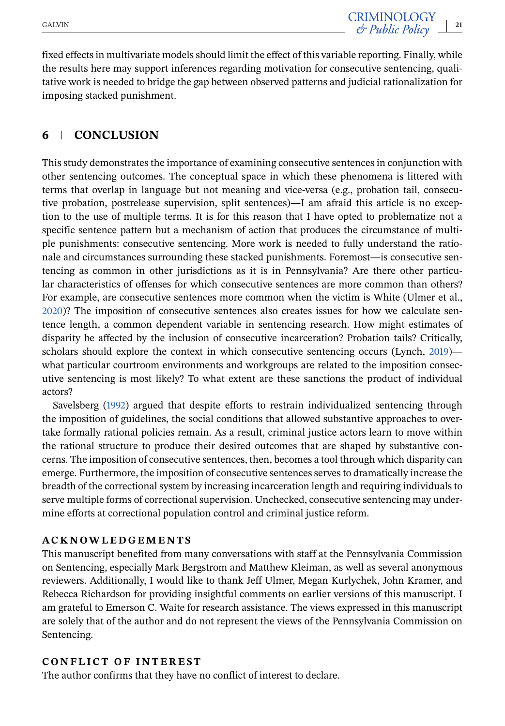fixed effects in multivariate models should limit the effect of this variable reporting. Finally, while the results here may support inferences regarding motivation for consecutive sentencing, qualitative work is needed to bridge the gap between observed patterns and judicial rationalization for imposing stacked punishment.

## **6 CONCLUSION**

This study demonstrates the importance of examining consecutive sentences in conjunction with other sentencing outcomes. The conceptual space in which these phenomena is littered with terms that overlap in language but not meaning and vice-versa (e.g., probation tail, consecutive probation, postrelease supervision, split sentences)—I am afraid this article is no exception to the use of multiple terms. It is for this reason that I have opted to problematize not a specific sentence pattern but a mechanism of action that produces the circumstance of multiple punishments: consecutive sentencing. More work is needed to fully understand the rationale and circumstances surrounding these stacked punishments. Foremost—is consecutive sentencing as common in other jurisdictions as it is in Pennsylvania? Are there other particular characteristics of offenses for which consecutive sentences are more common than others? For example, are consecutive sentences more common when the victim is White (Ulmer et al., [2020\)](#page-26-0)? The imposition of consecutive sentences also creates issues for how we calculate sentence length, a common dependent variable in sentencing research. How might estimates of disparity be affected by the inclusion of consecutive incarceration? Probation tails? Critically, scholars should explore the context in which consecutive sentencing occurs (Lynch, [2019\)](#page-25-0) what particular courtroom environments and workgroups are related to the imposition consecutive sentencing is most likely? To what extent are these sanctions the product of individual actors?

Savelsberg [\(1992\)](#page-26-0) argued that despite efforts to restrain individualized sentencing through the imposition of guidelines, the social conditions that allowed substantive approaches to overtake formally rational policies remain. As a result, criminal justice actors learn to move within the rational structure to produce their desired outcomes that are shaped by substantive concerns. The imposition of consecutive sentences, then, becomes a tool through which disparity can emerge. Furthermore, the imposition of consecutive sentences serves to dramatically increase the breadth of the correctional system by increasing incarceration length and requiring individuals to serve multiple forms of correctional supervision. Unchecked, consecutive sentencing may undermine efforts at correctional population control and criminal justice reform.

#### **ACKNOWLEDGEMENTS**

This manuscript benefited from many conversations with staff at the Pennsylvania Commission on Sentencing, especially Mark Bergstrom and Matthew Kleiman, as well as several anonymous reviewers. Additionally, I would like to thank Jeff Ulmer, Megan Kurlychek, John Kramer, and Rebecca Richardson for providing insightful comments on earlier versions of this manuscript. I am grateful to Emerson C. Waite for research assistance. The views expressed in this manuscript are solely that of the author and do not represent the views of the Pennsylvania Commission on Sentencing.

#### **CONFLICT OF INTEREST**

The author confirms that they have no conflict of interest to declare.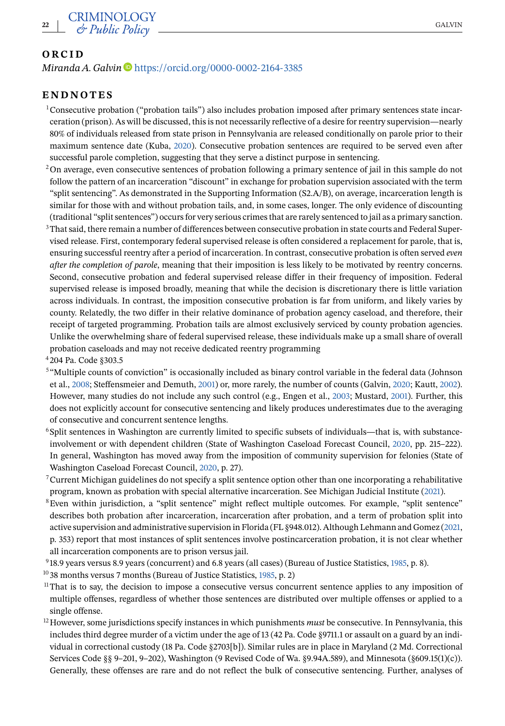#### <span id="page-21-0"></span>**ORCID**

#### *Miranda A. Galvin* D<https://orcid.org/0000-0002-2164-3385>

## **ENDNOTES**

- 1Consecutive probation ("probation tails") also includes probation imposed after primary sentences state incarceration (prison). As will be discussed, this is not necessarily reflective of a desire for reentry supervision—nearly 80% of individuals released from state prison in Pennsylvania are released conditionally on parole prior to their maximum sentence date (Kuba, [2020\)](#page-24-0). Consecutive probation sentences are required to be served even after successful parole completion, suggesting that they serve a distinct purpose in sentencing.
- $2$ On average, even consecutive sentences of probation following a primary sentence of jail in this sample do not follow the pattern of an incarceration "discount" in exchange for probation supervision associated with the term "split sentencing". As demonstrated in the Supporting Information (S2.A/B), on average, incarceration length is similar for those with and without probation tails, and, in some cases, longer. The only evidence of discounting (traditional "split sentences") occurs for very serious crimes that are rarely sentenced to jail as a primary sanction.
- <sup>3</sup>That said, there remain a number of differences between consecutive probation in state courts and Federal Supervised release. First, contemporary federal supervised release is often considered a replacement for parole, that is, ensuring successful reentry after a period of incarceration. In contrast, consecutive probation is often served *even after the completion of parole*, meaning that their imposition is less likely to be motivated by reentry concerns. Second, consecutive probation and federal supervised release differ in their frequency of imposition. Federal supervised release is imposed broadly, meaning that while the decision is discretionary there is little variation across individuals. In contrast, the imposition consecutive probation is far from uniform, and likely varies by county. Relatedly, the two differ in their relative dominance of probation agency caseload, and therefore, their receipt of targeted programming. Probation tails are almost exclusively serviced by county probation agencies. Unlike the overwhelming share of federal supervised release, these individuals make up a small share of overall probation caseloads and may not receive dedicated reentry programming

<sup>4</sup> 204 Pa. Code §303.5

- <sup>5</sup> "Multiple counts of conviction" is occasionally included as binary control variable in the federal data (Johnson et al., [2008;](#page-24-0) Steffensmeier and Demuth, [2001\)](#page-26-0) or, more rarely, the number of counts (Galvin, [2020;](#page-24-0) Kautt, [2002\)](#page-24-0). However, many studies do not include any such control (e.g., Engen et al., [2003;](#page-23-0) Mustard, [2001\)](#page-25-0). Further, this does not explicitly account for consecutive sentencing and likely produces underestimates due to the averaging of consecutive and concurrent sentence lengths.
- $6$ Split sentences in Washington are currently limited to specific subsets of individuals—that is, with substanceinvolvement or with dependent children (State of Washington Caseload Forecast Council, [2020,](#page-26-0) pp. 215–222). In general, Washington has moved away from the imposition of community supervision for felonies (State of Washington Caseload Forecast Council, [2020,](#page-26-0) p. 27).
- $7$ Current Michigan guidelines do not specify a split sentence option other than one incorporating a rehabilitative program, known as probation with special alternative incarceration. See Michigan Judicial Institute [\(2021\)](#page-25-0).
- <sup>8</sup>Even within jurisdiction, a "split sentence" might reflect multiple outcomes. For example, "split sentence" describes both probation after incarceration, incarceration after probation, and a term of probation split into active supervision and administrative supervision in Florida (FL §948.012). Although Lehmann and Gomez [\(2021,](#page-24-0) p. 353) report that most instances of split sentences involve postincarceration probation, it is not clear whether all incarceration components are to prison versus jail.
- <sup>9</sup> 18.9 years versus 8.9 years (concurrent) and 6.8 years (all cases) (Bureau of Justice Statistics, [1985,](#page-23-0) p. 8).
- <sup>10</sup> 38 months versus 7 months (Bureau of Justice Statistics, [1985,](#page-23-0) p. 2)
- <sup>11</sup>That is to say, the decision to impose a consecutive versus concurrent sentence applies to any imposition of multiple offenses, regardless of whether those sentences are distributed over multiple offenses or applied to a single offense.
- <sup>12</sup> However, some jurisdictions specify instances in which punishments *must* be consecutive. In Pennsylvania, this includes third degree murder of a victim under the age of 13 (42 Pa. Code §9711.1 or assault on a guard by an individual in correctional custody (18 Pa. Code §2703[b]). Similar rules are in place in Maryland (2 Md. Correctional Services Code §§ 9–201, 9–202), Washington (9 Revised Code of Wa. §9.94A.589), and Minnesota (§609.15(1)(c)). Generally, these offenses are rare and do not reflect the bulk of consecutive sentencing. Further, analyses of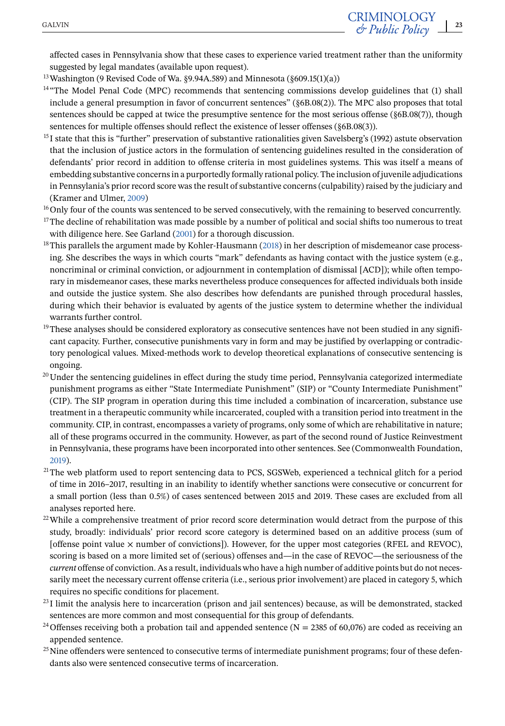<span id="page-22-0"></span>affected cases in Pennsylvania show that these cases to experience varied treatment rather than the uniformity suggested by legal mandates (available upon request).

<sup>13</sup> Washington (9 Revised Code of Wa. §9.94A.589) and Minnesota ( $\S 609.15(1)(a)$ )

- <sup>14</sup> "The Model Penal Code (MPC) recommends that sentencing commissions develop guidelines that (1) shall include a general presumption in favor of concurrent sentences" (§6B.08(2)). The MPC also proposes that total sentences should be capped at twice the presumptive sentence for the most serious offense (§6B.08(7)), though sentences for multiple offenses should reflect the existence of lesser offenses (§6B.08(3)).
- $<sup>15</sup>I$  state that this is "further" preservation of substantive rationalities given Savelsberg's (1992) astute observation</sup> that the inclusion of justice actors in the formulation of sentencing guidelines resulted in the consideration of defendants' prior record in addition to offense criteria in most guidelines systems. This was itself a means of embedding substantive concerns in a purportedly formally rational policy. The inclusion of juvenile adjudications in Pennsylania's prior record score was the result of substantive concerns (culpability) raised by the judiciary and (Kramer and Ulmer, [2009\)](#page-24-0)

<sup>16</sup>Only four of the counts was sentenced to be served consecutively, with the remaining to beserved concurrently.

- $17$ The decline of rehabilitation was made possible by a number of political and social shifts too numerous to treat with diligence here. See Garland [\(2001\)](#page-24-0) for a thorough discussion.
- <sup>18</sup>This parallels the argument made by Kohler-Hausmann [\(2018\)](#page-24-0) in her description of misdemeanor case processing. She describes the ways in which courts "mark" defendants as having contact with the justice system (e.g., noncriminal or criminal conviction, or adjournment in contemplation of dismissal [ACD]); while often temporary in misdemeanor cases, these marks nevertheless produce consequences for affected individuals both inside and outside the justice system. She also describes how defendants are punished through procedural hassles, during which their behavior is evaluated by agents of the justice system to determine whether the individual warrants further control.
- $19$ These analyses should be considered exploratory as consecutive sentences have not been studied in any significant capacity. Further, consecutive punishments vary in form and may be justified by overlapping or contradictory penological values. Mixed-methods work to develop theoretical explanations of consecutive sentencing is ongoing.
- $20$ Under the sentencing guidelines in effect during the study time period, Pennsylvania categorized intermediate punishment programs as either "State Intermediate Punishment" (SIP) or "County Intermediate Punishment" (CIP). The SIP program in operation during this time included a combination of incarceration, substance use treatment in a therapeutic community while incarcerated, coupled with a transition period into treatment in the community. CIP, in contrast, encompasses a variety of programs, only some of which are rehabilitative in nature; all of these programs occurred in the community. However, as part of the second round of Justice Reinvestment in Pennsylvania, these programs have been incorporated into other sentences. See (Commonwealth Foundation, [2019\)](#page-23-0).
- $21$ The web platform used to report sentencing data to PCS, SGSWeb, experienced a technical glitch for a period of time in 2016–2017, resulting in an inability to identify whether sanctions were consecutive or concurrent for a small portion (less than 0.5%) of cases sentenced between 2015 and 2019. These cases are excluded from all analyses reported here.
- $22$ While a comprehensive treatment of prior record score determination would detract from the purpose of this study, broadly: individuals' prior record score category is determined based on an additive process (sum of [offense point value  $\times$  number of convictions]). However, for the upper most categories (RFEL and REVOC), scoring is based on a more limited set of (serious) offenses and—in the case of REVOC—the seriousness of the *current* offense of conviction. As a result, individuals who have a high number of additive points but do not necessarily meet the necessary current offense criteria (i.e., serious prior involvement) are placed in category 5, which requires no specific conditions for placement.
- $^{23}$ I limit the analysis here to incarceration (prison and jail sentences) because, as will be demonstrated, stacked sentences are more common and most consequential for this group of defendants.
- <sup>24</sup> Offenses receiving both a probation tail and appended sentence (N = 2385 of 60,076) are coded as receiving an appended sentence.
- <sup>25</sup>Nine offenders were sentenced to consecutive terms of intermediate punishment programs; four of these defendants also were sentenced consecutive terms of incarceration.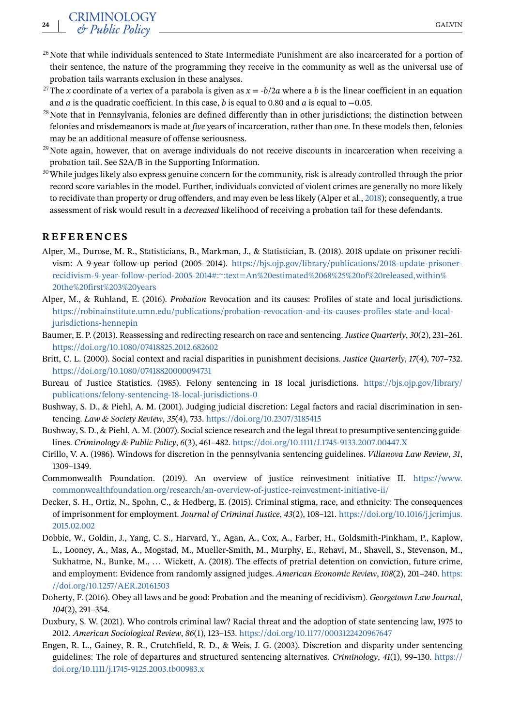- <span id="page-23-0"></span><sup>26</sup>Note that while individuals sentenced to State Intermediate Punishment are also incarcerated for a portion of their sentence, the nature of the programming they receive in the community as well as the universal use of probation tails warrants exclusion in these analyses.
- <sup>27</sup>The *x* coordinate of a vertex of a parabola is given as  $x = -b/2a$  where a *b* is the linear coefficient in an equation and *a* is the quadratic coefficient. In this case, *b* is equal to 0.80 and *a* is equal to −0.05.
- $28$ Note that in Pennsylvania, felonies are defined differently than in other jurisdictions; the distinction between felonies and misdemeanors is made at *five* years of incarceration, rather than one. In these models then, felonies may be an additional measure of offense seriousness.
- $29$ Note again, however, that on average individuals do not receive discounts in incarceration when receiving a probation tail. See S2A/B in the Supporting Information.
- <sup>30</sup>While judges likely also express genuine concern for the community, risk is already controlled through the prior record score variables in the model. Further, individuals convicted of violent crimes are generally no more likely to recidivate than property or drug offenders, and may even be less likely (Alper et al., 2018); consequently, a true assessment of risk would result in a *decreased* likelihood of receiving a probation tail for these defendants.

#### **REFERENCES**

- Alper, M., Durose, M. R., Statisticians, B., Markman, J., & Statistician, B. (2018). 2018 update on prisoner recidivism: A 9-year follow-up period (2005–2014). [https://bjs.ojp.gov/library/publications/2018-update-prisoner](https://bjs.ojp.gov/library/publications/2018-update-prisoner-recidivism-9-year-follow-period-2005-2014#:%7E:text=An%20estimated%2068%25%20of%20released,within%20the%20first%203%20years)recidivism-9-year-follow-period-2005-2014#:<sup>∼</sup>[:text=An%20estimated%2068%25%20of%20released,within%](https://bjs.ojp.gov/library/publications/2018-update-prisoner-recidivism-9-year-follow-period-2005-2014#:%7E:text=An%20estimated%2068%25%20of%20released,within%20the%20first%203%20years) [20the%20first%203%20years](https://bjs.ojp.gov/library/publications/2018-update-prisoner-recidivism-9-year-follow-period-2005-2014#:%7E:text=An%20estimated%2068%25%20of%20released,within%20the%20first%203%20years)
- Alper, M., & Ruhland, E. (2016). *Probation* Revocation and its causes: Profiles of state and local jurisdictions. [https://robinainstitute.umn.edu/publications/probation-revocation-and-its-causes-profiles-state-and-local](https://robinainstitute.umn.edu/publications/probation-revocation-and-its-causes-profiles-state-and-local-jurisdictions-hennepin)[jurisdictions-hennepin](https://robinainstitute.umn.edu/publications/probation-revocation-and-its-causes-profiles-state-and-local-jurisdictions-hennepin)
- Baumer, E. P. (2013). Reassessing and redirecting research on race and sentencing.*Justice Quarterly*, *30*(2), 231–261. <https://doi.org/10.1080/07418825.2012.682602>
- Britt, C. L. (2000). Social context and racial disparities in punishment decisions. *Justice Quarterly*, *17*(4), 707–732. <https://doi.org/10.1080/07418820000094731>
- Bureau of Justice Statistics. (1985). Felony sentencing in 18 local jurisdictions. [https://bjs.ojp.gov/library/](https://bjs.ojp.gov/library/publications/felony-sentencing-18-local-jurisdictions-0) [publications/felony-sentencing-18-local-jurisdictions-0](https://bjs.ojp.gov/library/publications/felony-sentencing-18-local-jurisdictions-0)
- Bushway, S. D., & Piehl, A. M. (2001). Judging judicial discretion: Legal factors and racial discrimination in sentencing. *Law & Society Review*, *35*(4), 733. <https://doi.org/10.2307/3185415>
- Bushway, S. D., & Piehl, A. M. (2007). Social science research and the legal threat to presumptive sentencing guidelines. *Criminology & Public Policy*, *6*(3), 461–482. <https://doi.org/10.1111/J.1745-9133.2007.00447.X>
- Cirillo, V. A. (1986). Windows for discretion in the pennsylvania sentencing guidelines. *Villanova Law Review*, *31*, 1309–1349.
- Commonwealth Foundation. (2019). An overview of justice reinvestment initiative II. [https://www.](https://www.commonwealthfoundation.org/research/an-overview-of-justice-reinvestment-initiative-ii/) [commonwealthfoundation.org/research/an-overview-of-justice-reinvestment-initiative-ii/](https://www.commonwealthfoundation.org/research/an-overview-of-justice-reinvestment-initiative-ii/)
- Decker, S. H., Ortiz, N., Spohn, C., & Hedberg, E. (2015). Criminal stigma, race, and ethnicity: The consequences of imprisonment for employment. *Journal of Criminal Justice*, *43*(2), 108–121. [https://doi.org/10.1016/j.jcrimjus.](https://doi.org/10.1016/j.jcrimjus.2015.02.002) [2015.02.002](https://doi.org/10.1016/j.jcrimjus.2015.02.002)
- Dobbie, W., Goldin, J., Yang, C. S., Harvard, Y., Agan, A., Cox, A., Farber, H., Goldsmith-Pinkham, P., Kaplow, L., Looney, A., Mas, A., Mogstad, M., Mueller-Smith, M., Murphy, E., Rehavi, M., Shavell, S., Stevenson, M., Sukhatme, N., Bunke, M., ... Wickett, A. (2018). The effects of pretrial detention on conviction, future crime, and employment: Evidence from randomly assigned judges. *American Economic Review*, *108*(2), 201–240. [https:](https://doi.org/10.1257/AER.20161503) [//doi.org/10.1257/AER.20161503](https://doi.org/10.1257/AER.20161503)
- Doherty, F. (2016). Obey all laws and be good: Probation and the meaning of recidivism). *Georgetown Law Journal*, *104*(2), 291–354.
- Duxbury, S. W. (2021). Who controls criminal law? Racial threat and the adoption of state sentencing law, 1975 to 2012. *American Sociological Review*, *86*(1), 123–153. <https://doi.org/10.1177/0003122420967647>
- Engen, R. L., Gainey, R. R., Crutchfield, R. D., & Weis, J. G. (2003). Discretion and disparity under sentencing guidelines: The role of departures and structured sentencing alternatives. *Criminology*, *41*(1), 99–130. [https://](https://doi.org/10.1111/j.1745-9125.2003.tb00983.x) [doi.org/10.1111/j.1745-9125.2003.tb00983.x](https://doi.org/10.1111/j.1745-9125.2003.tb00983.x)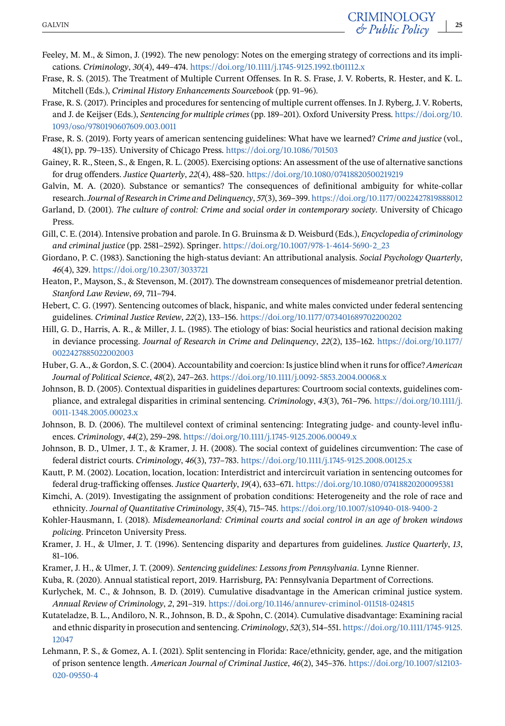- <span id="page-24-0"></span>Feeley, M. M., & Simon, J. (1992). The new penology: Notes on the emerging strategy of corrections and its implications. *Criminology*, *30*(4), 449–474. <https://doi.org/10.1111/j.1745-9125.1992.tb01112.x>
- Frase, R. S. (2015). The Treatment of Multiple Current Offenses. In R. S. Frase, J. V. Roberts, R. Hester, and K. L. Mitchell (Eds.), *Criminal History Enhancements Sourcebook* (pp. 91–96).
- Frase, R. S. (2017). Principles and procedures for sentencing of multiple current offenses. In J. Ryberg, J. V. Roberts, and J. de Keijser (Eds.), *Sentencing for multiple crimes* (pp. 189–201). Oxford University Press. [https://doi.org/10.](https://doi.org/10.1093/oso/9780190607609.003.0011) [1093/oso/9780190607609.003.0011](https://doi.org/10.1093/oso/9780190607609.003.0011)
- Frase, R. S. (2019). Forty years of american sentencing guidelines: What have we learned? *Crime and justice* (vol., 48(1), pp. 79–135). University of Chicago Press. <https://doi.org/10.1086/701503>
- Gainey, R. R., Steen, S., & Engen, R. L. (2005). Exercising options: An assessment of the use of alternative sanctions for drug offenders. *Justice Quarterly*, *22*(4), 488–520. <https://doi.org/10.1080/07418820500219219>
- Galvin, M. A. (2020). Substance or semantics? The consequences of definitional ambiguity for white-collar research.*Journal of Research in Crime and Delinquency*, *57*(3), 369–399. <https://doi.org/10.1177/0022427819888012>
- Garland, D. (2001). *The culture of control: Crime and social order in contemporary society*. University of Chicago Press.
- Gill, C. E. (2014). Intensive probation and parole. In G. Bruinsma & D. Weisburd (Eds.), *Encyclopedia of criminology and criminal justice* (pp. 2581–2592). Springer. [https://doi.org/10.1007/978-1-4614-5690-2\\_23](https://doi.org/10.1007/978-1-4614-5690-2_23)
- Giordano, P. C. (1983). Sanctioning the high-status deviant: An attributional analysis. *Social Psychology Quarterly*, *46*(4), 329. <https://doi.org/10.2307/3033721>
- Heaton, P., Mayson, S., & Stevenson, M. (2017). The downstream consequences of misdemeanor pretrial detention. *Stanford Law Review*, *69*, 711–794.
- Hebert, C. G. (1997). Sentencing outcomes of black, hispanic, and white males convicted under federal sentencing guidelines. *Criminal Justice Review*, *22*(2), 133–156. <https://doi.org/10.1177/073401689702200202>
- Hill, G. D., Harris, A. R., & Miller, J. L. (1985). The etiology of bias: Social heuristics and rational decision making in deviance processing. *Journal of Research in Crime and Delinquency*, *22*(2), 135–162. [https://doi.org/10.1177/](https://doi.org/10.1177/0022427885022002003) [0022427885022002003](https://doi.org/10.1177/0022427885022002003)
- Huber, G. A., & Gordon, S. C. (2004). Accountability and coercion: Is justice blind when it runs for office? *American Journal of Political Science*, *48*(2), 247–263. <https://doi.org/10.1111/j.0092-5853.2004.00068.x>
- Johnson, B. D. (2005). Contextual disparities in guidelines departures: Courtroom social contexts, guidelines compliance, and extralegal disparities in criminal sentencing. *Criminology*, *43*(3), 761–796. [https://doi.org/10.1111/j.](https://doi.org/10.1111/j.0011-1348.2005.00023.x) [0011-1348.2005.00023.x](https://doi.org/10.1111/j.0011-1348.2005.00023.x)
- Johnson, B. D. (2006). The multilevel context of criminal sentencing: Integrating judge- and county-level influences. *Criminology*, *44*(2), 259–298. <https://doi.org/10.1111/j.1745-9125.2006.00049.x>
- Johnson, B. D., Ulmer, J. T., & Kramer, J. H. (2008). The social context of guidelines circumvention: The case of federal district courts. *Criminology*, *46*(3), 737–783. <https://doi.org/10.1111/j.1745-9125.2008.00125.x>
- Kautt, P. M. (2002). Location, location, location: Interdistrict and intercircuit variation in sentencing outcomes for federal drug-trafficking offenses. *Justice Quarterly*, *19*(4), 633–671. <https://doi.org/10.1080/07418820200095381>
- Kimchi, A. (2019). Investigating the assignment of probation conditions: Heterogeneity and the role of race and ethnicity. *Journal of Quantitative Criminology*, *35*(4), 715–745. <https://doi.org/10.1007/s10940-018-9400-2>
- Kohler-Hausmann, I. (2018). *Misdemeanorland: Criminal courts and social control in an age of broken windows policing*. Princeton University Press.
- Kramer, J. H., & Ulmer, J. T. (1996). Sentencing disparity and departures from guidelines. *Justice Quarterly*, *13*, 81–106.
- Kramer, J. H., & Ulmer, J. T. (2009). *Sentencing guidelines: Lessons from Pennsylvania*. Lynne Rienner.
- Kuba, R. (2020). Annual statistical report, 2019. Harrisburg, PA: Pennsylvania Department of Corrections.
- Kurlychek, M. C., & Johnson, B. D. (2019). Cumulative disadvantage in the American criminal justice system. *Annual Review of Criminology*, *2*, 291–319. <https://doi.org/10.1146/annurev-criminol-011518-024815>
- Kutateladze, B. L., Andiloro, N. R., Johnson, B. D., & Spohn, C. (2014). Cumulative disadvantage: Examining racial and ethnic disparity in prosecution and sentencing. *Criminology*, *52*(3), 514–551. [https://doi.org/10.1111/1745-9125.](https://doi.org/10.1111/1745-9125.12047) [12047](https://doi.org/10.1111/1745-9125.12047)
- Lehmann, P. S., & Gomez, A. I. (2021). Split sentencing in Florida: Race/ethnicity, gender, age, and the mitigation of prison sentence length. *American Journal of Criminal Justice*, *46*(2), 345–376. [https://doi.org/10.1007/s12103-](https://doi.org/10.1007/s12103-020-09550-4) [020-09550-4](https://doi.org/10.1007/s12103-020-09550-4)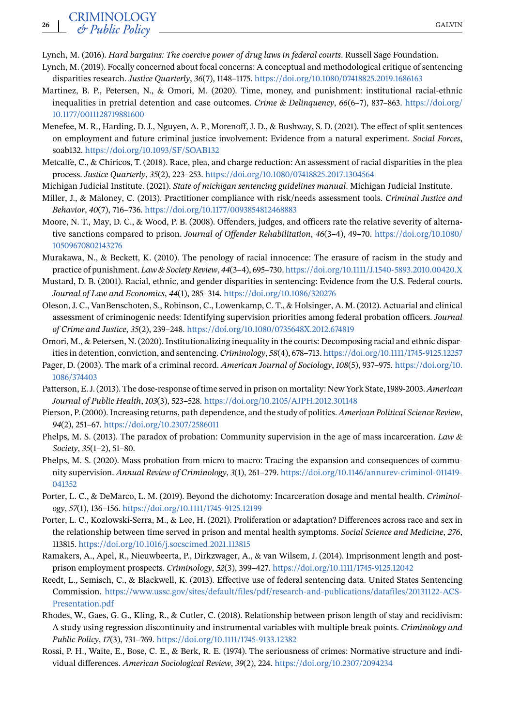- <span id="page-25-0"></span>Lynch, M. (2016). *Hard bargains: The coercive power of drug laws in federal courts*. Russell Sage Foundation.
- Lynch, M. (2019). Focally concerned about focal concerns: A conceptual and methodological critique of sentencing disparities research. *Justice Quarterly*, *36*(7), 1148–1175. <https://doi.org/10.1080/07418825.2019.1686163>
- Martinez, B. P., Petersen, N., & Omori, M. (2020). Time, money, and punishment: institutional racial-ethnic inequalities in pretrial detention and case outcomes. *Crime & Delinquency*, *66*(6–7), 837–863. [https://doi.org/](https://doi.org/10.1177/0011128719881600) [10.1177/0011128719881600](https://doi.org/10.1177/0011128719881600)
- Menefee, M. R., Harding, D. J., Nguyen, A. P., Morenoff, J. D., & Bushway, S. D. (2021). The effect of split sentences on employment and future criminal justice involvement: Evidence from a natural experiment. *Social Forces*, soab132. <https://doi.org/10.1093/SF/SOAB132>
- Metcalfe, C., & Chiricos, T. (2018). Race, plea, and charge reduction: An assessment of racial disparities in the plea process. *Justice Quarterly*, *35*(2), 223–253. <https://doi.org/10.1080/07418825.2017.1304564>
- Michigan Judicial Institute. (2021). *State of michigan sentencing guidelines manual*. Michigan Judicial Institute.
- Miller, J., & Maloney, C. (2013). Practitioner compliance with risk/needs assessment tools. *Criminal Justice and Behavior*, *40*(7), 716–736. <https://doi.org/10.1177/0093854812468883>
- Moore, N. T., May, D. C., & Wood, P. B. (2008). Offenders, judges, and officers rate the relative severity of alternative sanctions compared to prison. *Journal of Offender Rehabilitation*, *46*(3–4), 49–70. [https://doi.org/10.1080/](https://doi.org/10.1080/10509670802143276) [10509670802143276](https://doi.org/10.1080/10509670802143276)
- Murakawa, N., & Beckett, K. (2010). The penology of racial innocence: The erasure of racism in the study and practice of punishment. *Law & Society Review*, *44*(3–4), 695–730. <https://doi.org/10.1111/J.1540-5893.2010.00420.X>
- Mustard, D. B. (2001). Racial, ethnic, and gender disparities in sentencing: Evidence from the U.S. Federal courts. *Journal of Law and Economics*, *44*(1), 285–314. <https://doi.org/10.1086/320276>
- Oleson, J. C., VanBenschoten, S., Robinson, C., Lowenkamp, C. T., & Holsinger, A. M. (2012). Actuarial and clinical assessment of criminogenic needs: Identifying supervision priorities among federal probation officers. *Journal of Crime and Justice*, *35*(2), 239–248. <https://doi.org/10.1080/0735648X.2012.674819>
- Omori, M., & Petersen, N. (2020). Institutionalizing inequality in the courts: Decomposing racial and ethnic disparities in detention, conviction, and sentencing. *Criminology*, *58*(4), 678–713. <https://doi.org/10.1111/1745-9125.12257>
- Pager, D. (2003). The mark of a criminal record. *American Journal of Sociology*, *108*(5), 937–975. [https://doi.org/10.](https://doi.org/10.1086/374403) [1086/374403](https://doi.org/10.1086/374403)
- Patterson, E. J. (2013). The dose-response of time served in prison on mortality: New York State, 1989-2003.*American Journal of Public Health*, *103*(3), 523–528. <https://doi.org/10.2105/AJPH.2012.301148>
- Pierson, P. (2000). Increasing returns, path dependence, and the study of politics. *American Political Science Review*, *94*(2), 251–67. <https://doi.org/10.2307/2586011>
- Phelps, M. S. (2013). The paradox of probation: Community supervision in the age of mass incarceration. *Law & Society*, *35*(1–2), 51–80.
- Phelps, M. S. (2020). Mass probation from micro to macro: Tracing the expansion and consequences of community supervision. *Annual Review of Criminology*, *3*(1), 261–279. [https://doi.org/10.1146/annurev-criminol-011419-](https://doi.org/10.1146/annurev-criminol-011419-041352) [041352](https://doi.org/10.1146/annurev-criminol-011419-041352)
- Porter, L. C., & DeMarco, L. M. (2019). Beyond the dichotomy: Incarceration dosage and mental health. *Criminology*, *57*(1), 136–156. <https://doi.org/10.1111/1745-9125.12199>
- Porter, L. C., Kozlowski-Serra, M., & Lee, H. (2021). Proliferation or adaptation? Differences across race and sex in the relationship between time served in prison and mental health symptoms. *Social Science and Medicine*, *276*, 113815. <https://doi.org/10.1016/j.socscimed.2021.113815>
- Ramakers, A., Apel, R., Nieuwbeerta, P., Dirkzwager, A., & van Wilsem, J. (2014). Imprisonment length and postprison employment prospects. *Criminology*, *52*(3), 399–427. <https://doi.org/10.1111/1745-9125.12042>
- Reedt, L., Semisch, C., & Blackwell, K. (2013). Effective use of federal sentencing data. United States Sentencing Commission. [https://www.ussc.gov/sites/default/files/pdf/research-and-publications/datafiles/20131122-ACS-](https://www.ussc.gov/sites/default/files/pdf/research-and-publications/datafiles/20131122-ACS-Presentation.pdf)[Presentation.pdf](https://www.ussc.gov/sites/default/files/pdf/research-and-publications/datafiles/20131122-ACS-Presentation.pdf)
- Rhodes, W., Gaes, G. G., Kling, R., & Cutler, C. (2018). Relationship between prison length of stay and recidivism: A study using regression discontinuity and instrumental variables with multiple break points. *Criminology and Public Policy*, *17*(3), 731–769. <https://doi.org/10.1111/1745-9133.12382>
- Rossi, P. H., Waite, E., Bose, C. E., & Berk, R. E. (1974). The seriousness of crimes: Normative structure and individual differences. *American Sociological Review*, *39*(2), 224. <https://doi.org/10.2307/2094234>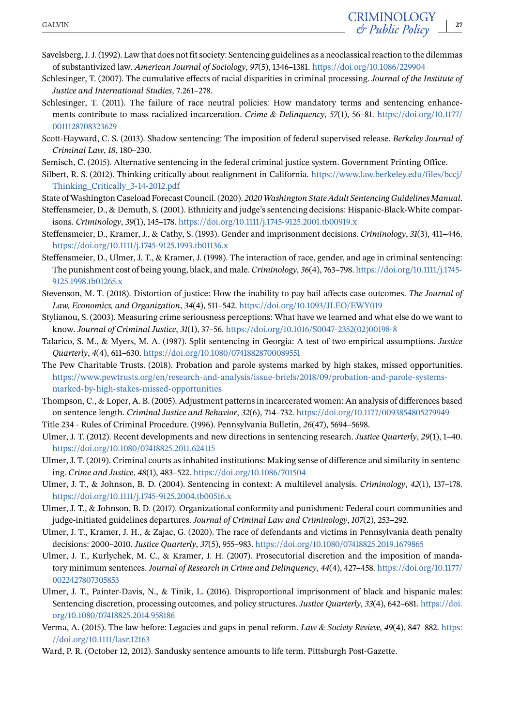- <span id="page-26-0"></span>Savelsberg, J. J. (1992). Law that does not fit society: Sentencing guidelines as a neoclassical reaction to the dilemmas of substantivized law. *American Journal of Sociology*, *97*(5), 1346–1381. <https://doi.org/10.1086/229904>
- Schlesinger, T. (2007). The cumulative effects of racial disparities in criminal processing. *Journal of the Institute of Justice and International Studies*, 7.261–278.
- Schlesinger, T. (2011). The failure of race neutral policies: How mandatory terms and sentencing enhancements contribute to mass racialized incarceration. *Crime & Delinquency*, *57*(1), 56–81. [https://doi.org/10.1177/](https://doi.org/10.1177/0011128708323629) [0011128708323629](https://doi.org/10.1177/0011128708323629)
- Scott-Hayward, C. S. (2013). Shadow sentencing: The imposition of federal supervised release. *Berkeley Journal of Criminal Law*, *18*, 180–230.
- Semisch, C. (2015). Alternative sentencing in the federal criminal justice system. Government Printing Office.
- Silbert, R. S. (2012). Thinking critically about realignment in California. [https://www.law.berkeley.edu/files/bccj/](https://www.law.berkeley.edu/files/bccj/Thinking_Critically_3-14-2012.pdf) [Thinking\\_Critically\\_3-14-2012.pdf](https://www.law.berkeley.edu/files/bccj/Thinking_Critically_3-14-2012.pdf)
- State of Washington Caseload Forecast Council. (2020). *2020Washington State Adult Sentencing Guidelines Manual*.
- Steffensmeier, D., & Demuth, S. (2001). Ethnicity and judge's sentencing decisions: Hispanic-Black-White comparisons. *Criminology*, *39*(1), 145–178. <https://doi.org/10.1111/j.1745-9125.2001.tb00919.x>
- Steffensmeier, D., Kramer, J., & Cathy, S. (1993). Gender and imprisonment decisions. *Criminology*, *31*(3), 411–446. <https://doi.org/10.1111/j.1745-9125.1993.tb01136.x>
- Steffensmeier, D., Ulmer, J. T., & Kramer, J. (1998). The interaction of race, gender, and age in criminal sentencing: The punishment cost of being young, black, and male. *Criminology*, *36*(4), 763–798. [https://doi.org/10.1111/j.1745-](https://doi.org/10.1111/j.1745-9125.1998.tb01265.x) [9125.1998.tb01265.x](https://doi.org/10.1111/j.1745-9125.1998.tb01265.x)
- Stevenson, M. T. (2018). Distortion of justice: How the inability to pay bail affects case outcomes. *The Journal of Law, Economics, and Organization*, *34*(4), 511–542. <https://doi.org/10.1093/JLEO/EWY019>
- Stylianou, S. (2003). Measuring crime seriousness perceptions: What have we learned and what else do we want to know. *Journal of Criminal Justice*, *31*(1), 37–56. [https://doi.org/10.1016/S0047-2352\(02\)00198-8](https://doi.org/10.1016/S0047-2352(02)00198-8)
- Talarico, S. M., & Myers, M. A. (1987). Split sentencing in Georgia: A test of two empirical assumptions. *Justice Quarterly*, *4*(4), 611–630. <https://doi.org/10.1080/07418828700089551>
- The Pew Charitable Trusts. (2018). Probation and parole systems marked by high stakes, missed opportunities. [https://www.pewtrusts.org/en/research-and-analysis/issue-briefs/2018/09/probation-and-parole-systems](https://www.pewtrusts.org/en/research-and-analysis/issue-briefs/2018/09/probation-and-parole-systems-marked-by-high-stakes-missed-opportunities)[marked-by-high-stakes-missed-opportunities](https://www.pewtrusts.org/en/research-and-analysis/issue-briefs/2018/09/probation-and-parole-systems-marked-by-high-stakes-missed-opportunities)
- Thompson, C., & Loper, A. B. (2005). Adjustment patterns in incarcerated women: An analysis of differences based on sentence length. *Criminal Justice and Behavior*, *32*(6), 714–732. <https://doi.org/10.1177/0093854805279949>
- Title 234 Rules of Criminal Procedure. (1996). Pennsylvania Bulletin, *26*(47), 5694–5698.
- Ulmer, J. T. (2012). Recent developments and new directions in sentencing research. *Justice Quarterly*, *29*(1), 1–40. <https://doi.org/10.1080/07418825.2011.624115>
- Ulmer, J. T. (2019). Criminal courts as inhabited institutions: Making sense of difference and similarity in sentencing. *Crime and Justice*, *48*(1), 483–522. <https://doi.org/10.1086/701504>
- Ulmer, J. T., & Johnson, B. D. (2004). Sentencing in context: A multilevel analysis. *Criminology*, *42*(1), 137–178. <https://doi.org/10.1111/j.1745-9125.2004.tb00516.x>
- Ulmer, J. T., & Johnson, B. D. (2017). Organizational conformity and punishment: Federal court communities and judge-initiated guidelines departures. *Journal of Criminal Law and Criminology*, *107*(2), 253–292.
- Ulmer, J. T., Kramer, J. H., & Zajac, G. (2020). The race of defendants and victims in Pennsylvania death penalty decisions: 2000–2010. *Justice Quarterly*, *37*(5), 955–983. <https://doi.org/10.1080/07418825.2019.1679865>
- Ulmer, J. T., Kurlychek, M. C., & Kramer, J. H. (2007). Prosecutorial discretion and the imposition of mandatory minimum sentences. *Journal of Research in Crime and Delinquency*, *44*(4), 427–458. [https://doi.org/10.1177/](https://doi.org/10.1177/0022427807305853) [0022427807305853](https://doi.org/10.1177/0022427807305853)
- Ulmer, J. T., Painter-Davis, N., & Tinik, L. (2016). Disproportional imprisonment of black and hispanic males: Sentencing discretion, processing outcomes, and policy structures. *Justice Quarterly*, *33*(4), 642–681. [https://doi.](https://doi.org/10.1080/07418825.2014.958186) [org/10.1080/07418825.2014.958186](https://doi.org/10.1080/07418825.2014.958186)
- Verma, A. (2015). The law-before: Legacies and gaps in penal reform. *Law & Society Review*, *49*(4), 847–882. [https:](https://doi.org/10.1111/lasr.12163) [//doi.org/10.1111/lasr.12163](https://doi.org/10.1111/lasr.12163)
- Ward, P. R. (October 12, 2012). Sandusky sentence amounts to life term. Pittsburgh Post-Gazette.